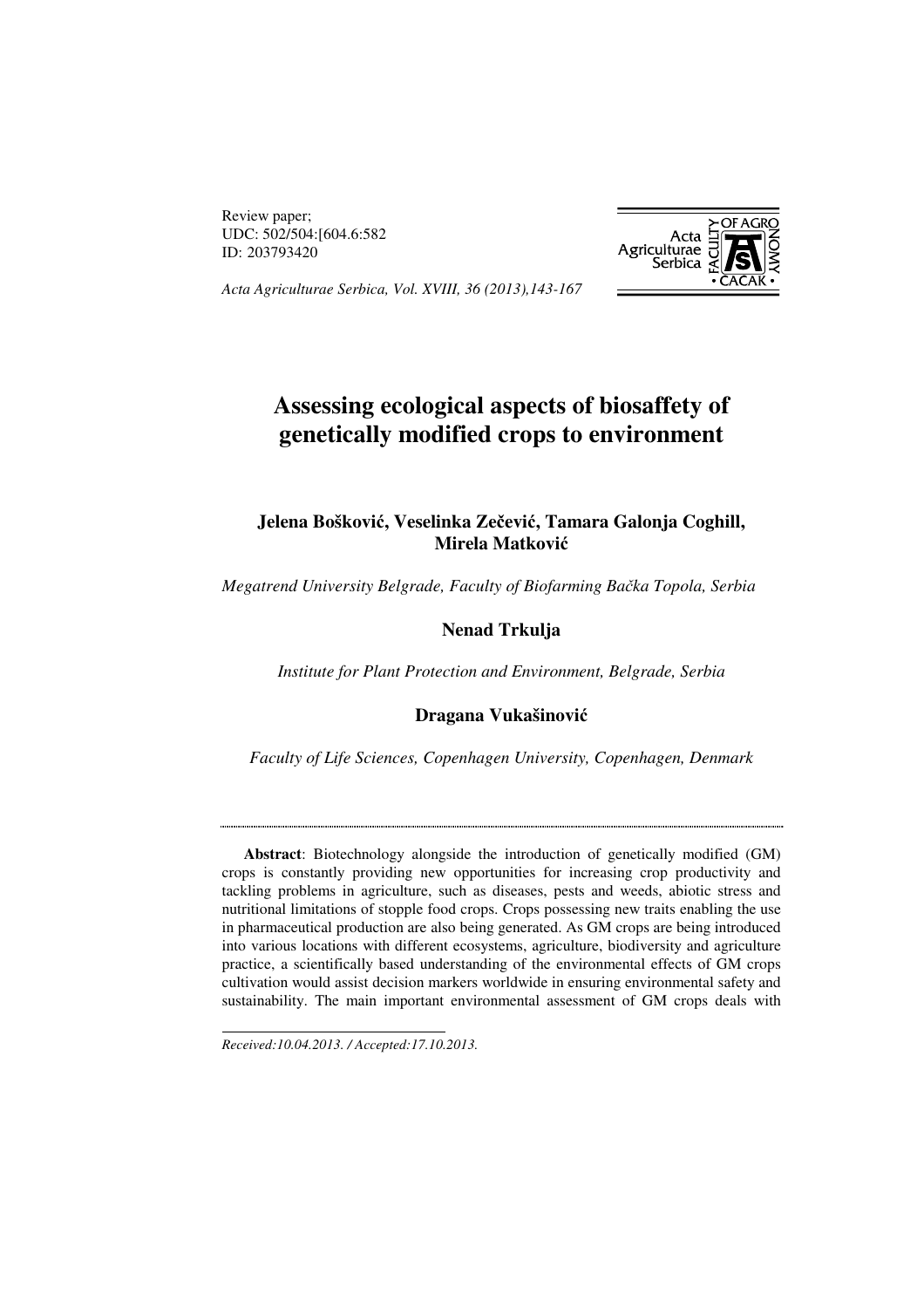Review paper; UDC: 502/504:[604.6:582 ID: 203793420



*Acta Agriculturae Serbica, Vol. XVIII, 36 (2013),143-167<sup>1</sup>*

# **Assessing ecological aspects of biosaffety of genetically modified crops to environment**

# **Jelena Boškovi**ć**, Veselinka Ze**č**evi**ć**, Tamara Galonja Coghill, Mirela Matkovi**ć

*Megatrend University Belgrade, Faculty of Biofarming Ba*č*ka Topola, Serbia* 

# **Nenad Trkulja**

*Institute for Plant Protection and Environment, Belgrade, Serbia* 

### **Dragana Vukašinovi**ć

*Faculty of Life Sciences, Copenhagen University, Copenhagen, Denmark* 

**Abstract**: Biotechnology alongside the introduction of genetically modified (GM) crops is constantly providing new opportunities for increasing crop productivity and tackling problems in agriculture, such as diseases, pests and weeds, abiotic stress and nutritional limitations of stopple food crops. Crops possessing new traits enabling the use in pharmaceutical production are also being generated. As GM crops are being introduced into various locations with different ecosystems, agriculture, biodiversity and agriculture practice, a scientifically based understanding of the environmental effects of GM crops cultivation would assist decision markers worldwide in ensuring environmental safety and sustainability. The main important environmental assessment of GM crops deals with

*Received:10.04.2013. / Accepted:17.10.2013.* 

 $\overline{a}$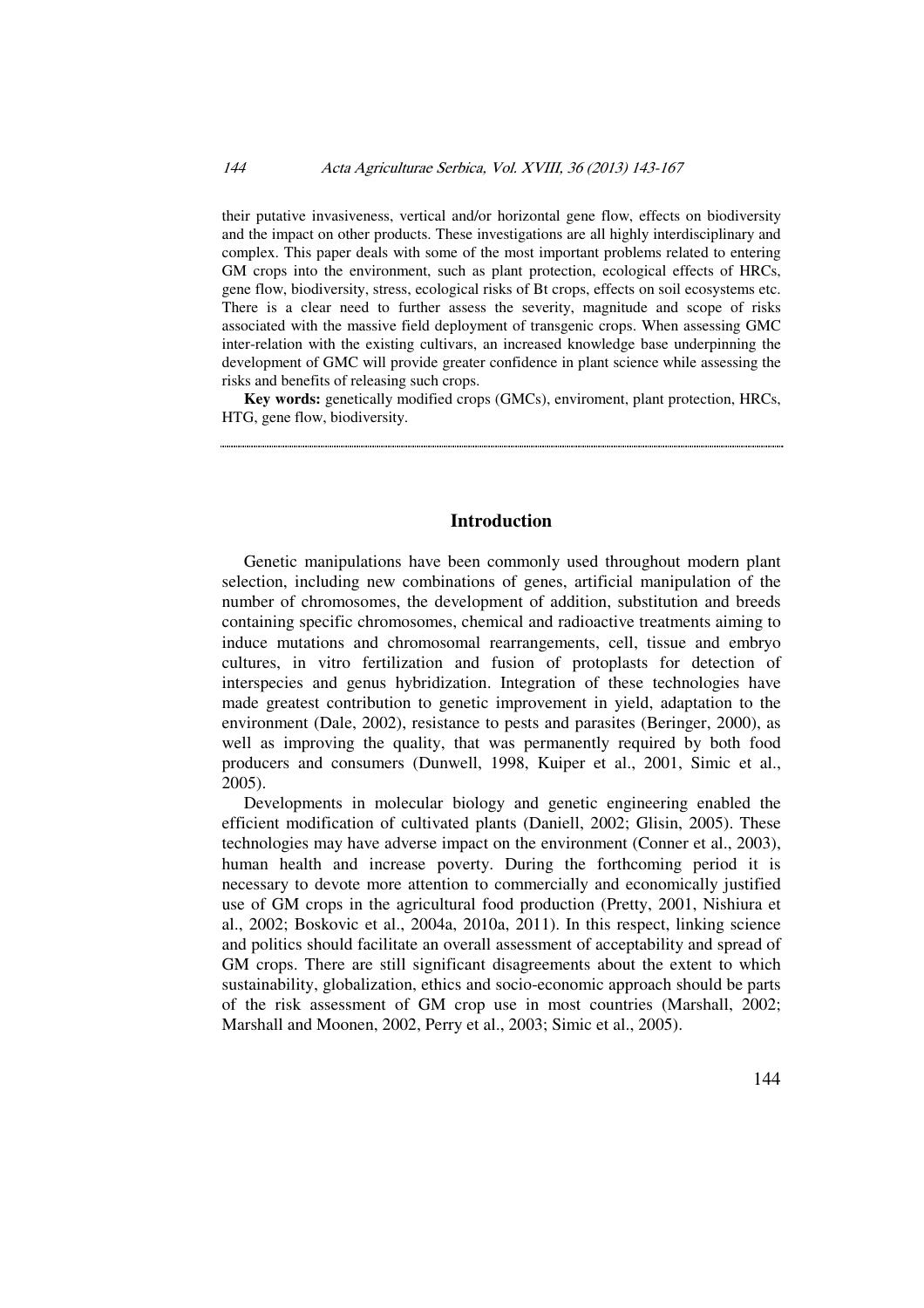their putative invasiveness, vertical and/or horizontal gene flow, effects on biodiversity and the impact on other products. These investigations are all highly interdisciplinary and complex. This paper deals with some of the most important problems related to entering GM crops into the environment, such as plant protection, ecological effects of HRCs, gene flow, biodiversity, stress, ecological risks of Bt crops, effects on soil ecosystems etc. There is a clear need to further assess the severity, magnitude and scope of risks associated with the massive field deployment of transgenic crops. When assessing GMC inter-relation with the existing cultivars, an increased knowledge base underpinning the development of GMC will provide greater confidence in plant science while assessing the risks and benefits of releasing such crops.

**Key words:** genetically modified crops (GMCs), enviroment, plant protection, HRCs, HTG, gene flow, biodiversity.

### **Introduction**

Genetic manipulations have been commonly used throughout modern plant selection, including new combinations of genes, artificial manipulation of the number of chromosomes, the development of addition, substitution and breeds containing specific chromosomes, chemical and radioactive treatments aiming to induce mutations and chromosomal rearrangements, cell, tissue and embryo cultures, in vitro fertilization and fusion of protoplasts for detection of interspecies and genus hybridization. Integration of these technologies have made greatest contribution to genetic improvement in yield, adaptation to the environment (Dale, 2002), resistance to pests and parasites (Beringer, 2000), as well as improving the quality, that was permanently required by both food producers and consumers (Dunwell, 1998, Kuiper et al., 2001, Simic et al., 2005).

Developments in molecular biology and genetic engineering enabled the efficient modification of cultivated plants (Daniell, 2002; Glisin, 2005). These technologies may have adverse impact on the environment (Conner et al., 2003), human health and increase poverty. During the forthcoming period it is necessary to devote more attention to commercially and economically justified use of GM crops in the agricultural food production (Pretty, 2001, Nishiura et al., 2002; Boskovic et al., 2004a, 2010a, 2011). In this respect, linking science and politics should facilitate an overall assessment of acceptability and spread of GM crops. There are still significant disagreements about the extent to which sustainability, globalization, ethics and socio-economic approach should be parts of the risk assessment of GM crop use in most countries (Marshall, 2002; Marshall and Moonen, 2002, Perry et al., 2003; Simic et al., 2005).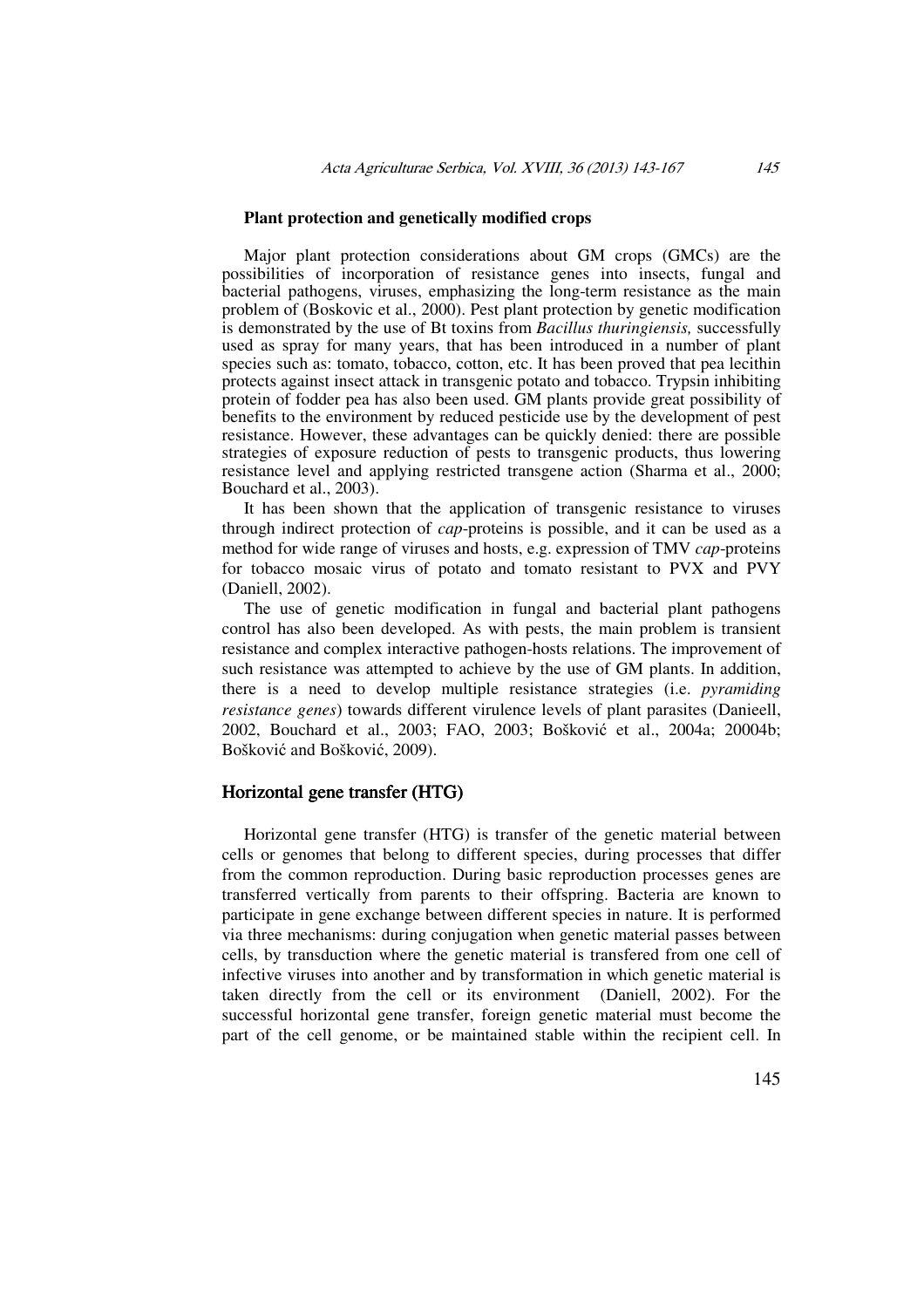### **Plant protection and genetically modified crops**

Major plant protection considerations about GM crops (GMCs) are the possibilities of incorporation of resistance genes into insects, fungal and bacterial pathogens, viruses, emphasizing the long-term resistance as the main problem of (Boskovic et al., 2000). Pest plant protection by genetic modification is demonstrated by the use of Bt toxins from *Bacillus thuringiensis,* successfully used as spray for many years, that has been introduced in a number of plant species such as: tomato, tobacco, cotton, etc. It has been proved that pea lecithin protects against insect attack in transgenic potato and tobacco. Trypsin inhibiting protein of fodder pea has also been used. GM plants provide great possibility of benefits to the environment by reduced pesticide use by the development of pest resistance. However, these advantages can be quickly denied: there are possible strategies of exposure reduction of pests to transgenic products, thus lowering resistance level and applying restricted transgene action (Sharma et al., 2000; Bouchard et al., 2003).

It has been shown that the application of transgenic resistance to viruses through indirect protection of *cap*-proteins is possible, and it can be used as a method for wide range of viruses and hosts, e.g. expression of TMV *cap*-proteins for tobacco mosaic virus of potato and tomato resistant to PVX and PVY (Daniell, 2002).

The use of genetic modification in fungal and bacterial plant pathogens control has also been developed. As with pests, the main problem is transient resistance and complex interactive pathogen-hosts relations. The improvement of such resistance was attempted to achieve by the use of GM plants. In addition, there is a need to develop multiple resistance strategies (i.e. *pyramiding resistance genes*) towards different virulence levels of plant parasites (Danieell, 2002, Bouchard et al., 2003; FAO, 2003; Bošković et al., 2004a; 20004b; Bošković and Bošković, 2009).

### Horizontal gene transfer (HTG)

Horizontal gene transfer (HTG) is transfer of the genetic material between cells or genomes that belong to different species, during processes that differ from the common reproduction. During basic reproduction processes genes are transferred vertically from parents to their offspring. Bacteria are known to participate in gene exchange between different species in nature. It is performed via three mechanisms: during conjugation when genetic material passes between cells, by transduction where the genetic material is transfered from one cell of infective viruses into another and by transformation in which genetic material is taken directly from the cell or its environment (Daniell, 2002). For the successful horizontal gene transfer, foreign genetic material must become the part of the cell genome, or be maintained stable within the recipient cell. In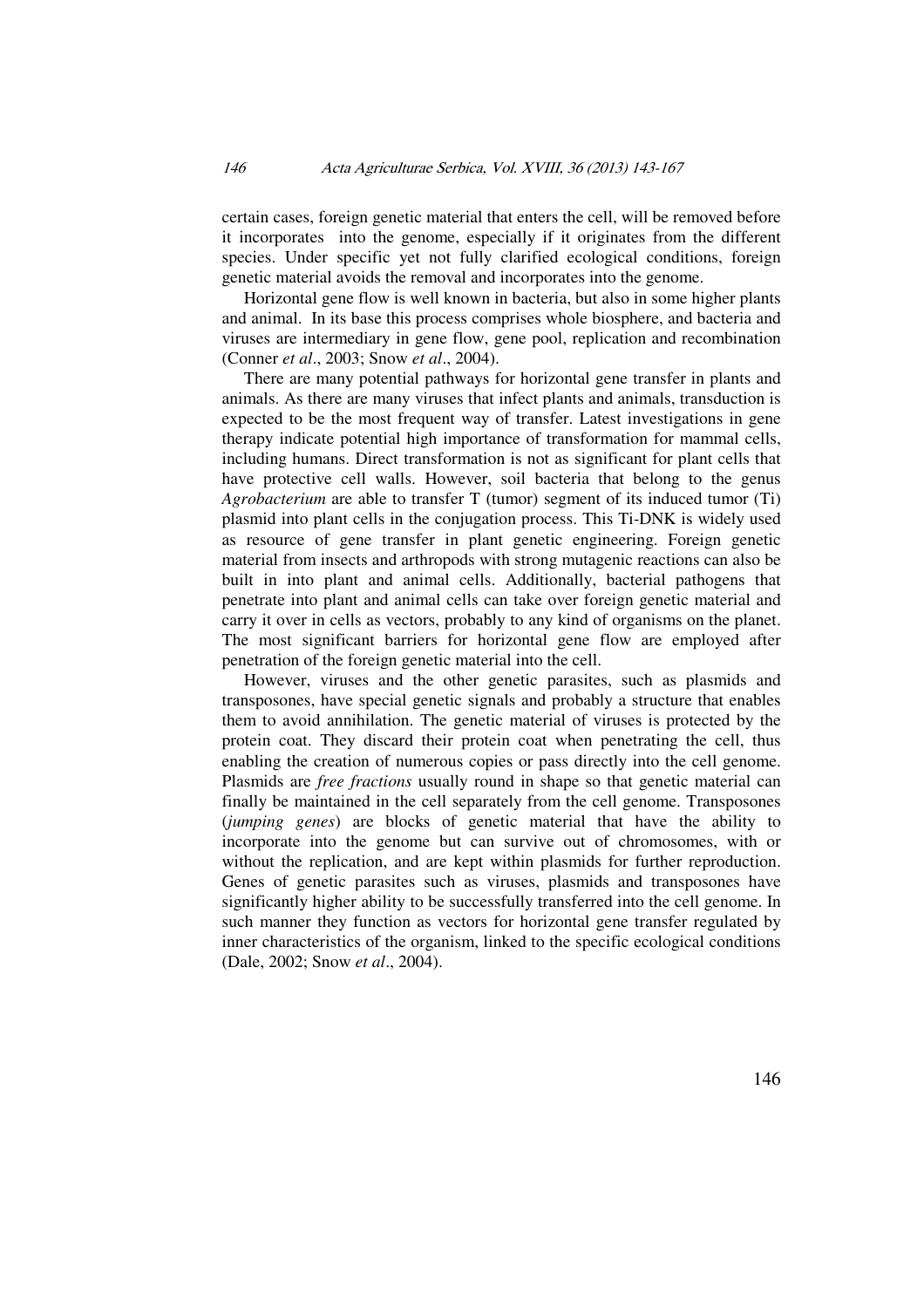certain cases, foreign genetic material that enters the cell, will be removed before it incorporates into the genome, especially if it originates from the different species. Under specific yet not fully clarified ecological conditions, foreign genetic material avoids the removal and incorporates into the genome.

Horizontal gene flow is well known in bacteria, but also in some higher plants and animal. In its base this process comprises whole biosphere, and bacteria and viruses are intermediary in gene flow, gene pool, replication and recombination (Conner *et al*., 2003; Snow *et al*., 2004).

There are many potential pathways for horizontal gene transfer in plants and animals. As there are many viruses that infect plants and animals, transduction is expected to be the most frequent way of transfer. Latest investigations in gene therapy indicate potential high importance of transformation for mammal cells, including humans. Direct transformation is not as significant for plant cells that have protective cell walls. However, soil bacteria that belong to the genus *Agrobacterium* are able to transfer T (tumor) segment of its induced tumor (Ti) plasmid into plant cells in the conjugation process. This Ti-DNK is widely used as resource of gene transfer in plant genetic engineering. Foreign genetic material from insects and arthropods with strong mutagenic reactions can also be built in into plant and animal cells. Additionally, bacterial pathogens that penetrate into plant and animal cells can take over foreign genetic material and carry it over in cells as vectors, probably to any kind of organisms on the planet. The most significant barriers for horizontal gene flow are employed after penetration of the foreign genetic material into the cell.

However, viruses and the other genetic parasites, such as plasmids and transposones, have special genetic signals and probably a structure that enables them to avoid annihilation. The genetic material of viruses is protected by the protein coat. They discard their protein coat when penetrating the cell, thus enabling the creation of numerous copies or pass directly into the cell genome. Plasmids are *free fractions* usually round in shape so that genetic material can finally be maintained in the cell separately from the cell genome. Transposones (*jumping genes*) are blocks of genetic material that have the ability to incorporate into the genome but can survive out of chromosomes, with or without the replication, and are kept within plasmids for further reproduction. Genes of genetic parasites such as viruses, plasmids and transposones have significantly higher ability to be successfully transferred into the cell genome. In such manner they function as vectors for horizontal gene transfer regulated by inner characteristics of the organism, linked to the specific ecological conditions (Dale, 2002; Snow *et al*., 2004).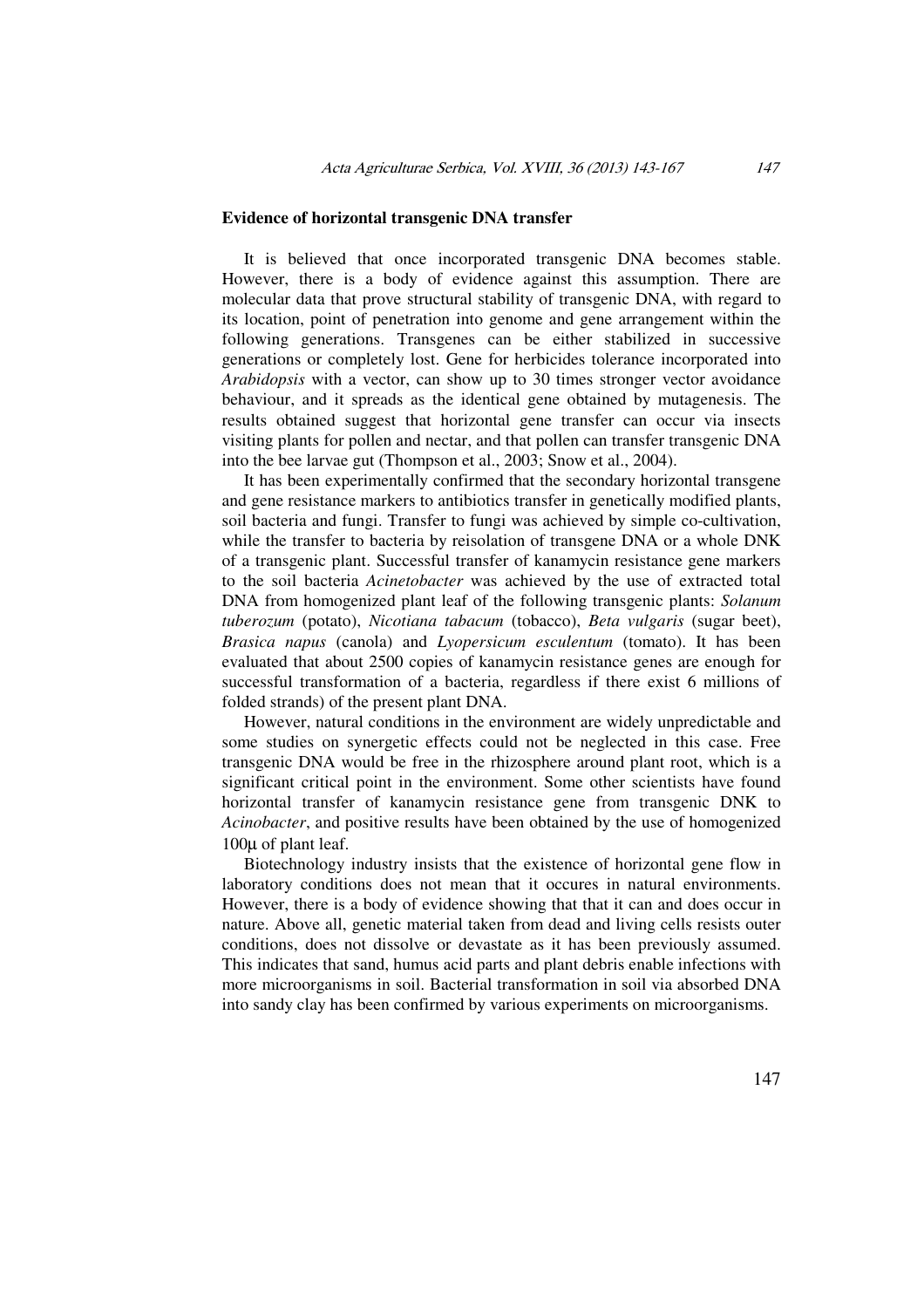### **Evidence of horizontal transgenic DNA transfer**

It is believed that once incorporated transgenic DNA becomes stable. However, there is a body of evidence against this assumption. There are molecular data that prove structural stability of transgenic DNA, with regard to its location, point of penetration into genome and gene arrangement within the following generations. Transgenes can be either stabilized in successive generations or completely lost. Gene for herbicides tolerance incorporated into *Arabidopsis* with a vector, can show up to 30 times stronger vector avoidance behaviour, and it spreads as the identical gene obtained by mutagenesis. The results obtained suggest that horizontal gene transfer can occur via insects visiting plants for pollen and nectar, and that pollen can transfer transgenic DNA into the bee larvae gut (Thompson et al., 2003; Snow et al., 2004).

It has been experimentally confirmed that the secondary horizontal transgene and gene resistance markers to antibiotics transfer in genetically modified plants, soil bacteria and fungi. Transfer to fungi was achieved by simple co-cultivation, while the transfer to bacteria by reisolation of transgene DNA or a whole DNK of a transgenic plant. Successful transfer of kanamycin resistance gene markers to the soil bacteria *Acinetobacter* was achieved by the use of extracted total DNA from homogenized plant leaf of the following transgenic plants: *Solanum tuberozum* (potato), *Nicotiana tabacum* (tobacco), *Beta vulgaris* (sugar beet), *Brasica napus* (canola) and *Lyopersicum esculentum* (tomato). It has been evaluated that about 2500 copies of kanamycin resistance genes are enough for successful transformation of a bacteria, regardless if there exist 6 millions of folded strands) of the present plant DNA.

However, natural conditions in the environment are widely unpredictable and some studies on synergetic effects could not be neglected in this case. Free transgenic DNA would be free in the rhizosphere around plant root, which is a significant critical point in the environment. Some other scientists have found horizontal transfer of kanamycin resistance gene from transgenic DNK to *Acinobacter*, and positive results have been obtained by the use of homogenized 100µ of plant leaf.

Biotechnology industry insists that the existence of horizontal gene flow in laboratory conditions does not mean that it occures in natural environments. However, there is a body of evidence showing that that it can and does occur in nature. Above all, genetic material taken from dead and living cells resists outer conditions, does not dissolve or devastate as it has been previously assumed. This indicates that sand, humus acid parts and plant debris enable infections with more microorganisms in soil. Bacterial transformation in soil via absorbed DNA into sandy clay has been confirmed by various experiments on microorganisms.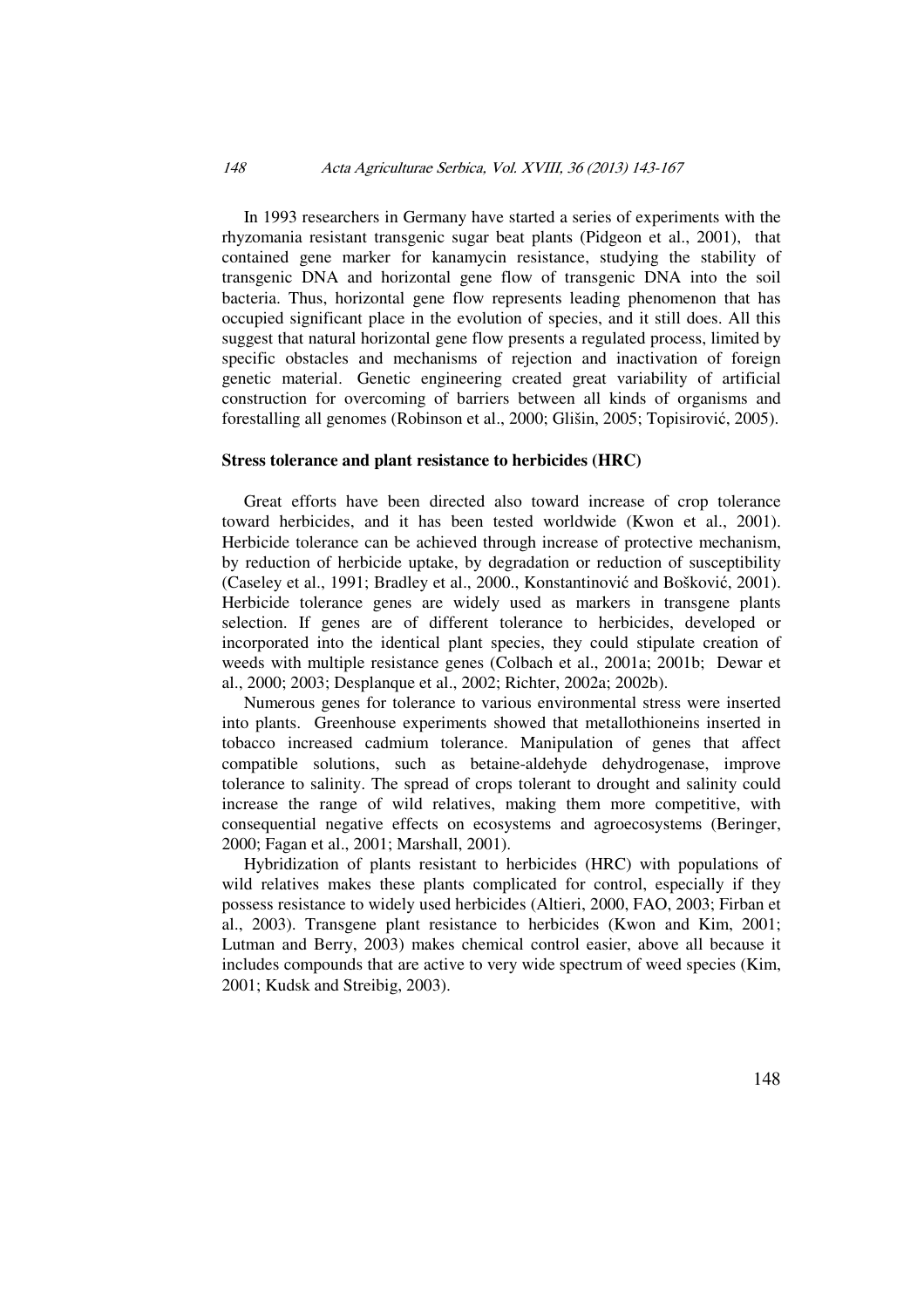### 148 Acta Agriculturae Serbica, Vol. XVIII, 36 (2013) 143-167

In 1993 researchers in Germany have started a series of experiments with the rhyzomania resistant transgenic sugar beat plants (Pidgeon et al., 2001), that contained gene marker for kanamycin resistance, studying the stability of transgenic DNA and horizontal gene flow of transgenic DNA into the soil bacteria. Thus, horizontal gene flow represents leading phenomenon that has occupied significant place in the evolution of species, and it still does. All this suggest that natural horizontal gene flow presents a regulated process, limited by specific obstacles and mechanisms of rejection and inactivation of foreign genetic material. Genetic engineering created great variability of artificial construction for overcoming of barriers between all kinds of organisms and forestalling all genomes (Robinson et al., 2000; Glišin, 2005; Topisirović, 2005).

### **Stress tolerance and plant resistance to herbicides (HRC)**

Great efforts have been directed also toward increase of crop tolerance toward herbicides, and it has been tested worldwide (Kwon et al., 2001). Herbicide tolerance can be achieved through increase of protective mechanism, by reduction of herbicide uptake, by degradation or reduction of susceptibility (Caseley et al., 1991; Bradley et al., 2000., Konstantinović and Bošković, 2001). Herbicide tolerance genes are widely used as markers in transgene plants selection. If genes are of different tolerance to herbicides, developed or incorporated into the identical plant species, they could stipulate creation of weeds with multiple resistance genes (Colbach et al., 2001a; 2001b; Dewar et al., 2000; 2003; Desplanque et al., 2002; Richter, 2002a; 2002b).

Numerous genes for tolerance to various environmental stress were inserted into plants. Greenhouse experiments showed that metallothioneins inserted in tobacco increased cadmium tolerance. Manipulation of genes that affect compatible solutions, such as betaine-aldehyde dehydrogenase, improve tolerance to salinity. The spread of crops tolerant to drought and salinity could increase the range of wild relatives, making them more competitive, with consequential negative effects on ecosystems and agroecosystems (Beringer, 2000; Fagan et al., 2001; Marshall, 2001).

Hybridization of plants resistant to herbicides (HRC) with populations of wild relatives makes these plants complicated for control, especially if they possess resistance to widely used herbicides (Altieri, 2000, FAO, 2003; Firban et al., 2003). Transgene plant resistance to herbicides (Kwon and Kim, 2001; Lutman and Berry, 2003) makes chemical control easier, above all because it includes compounds that are active to very wide spectrum of weed species (Kim, 2001; Kudsk and Streibig, 2003).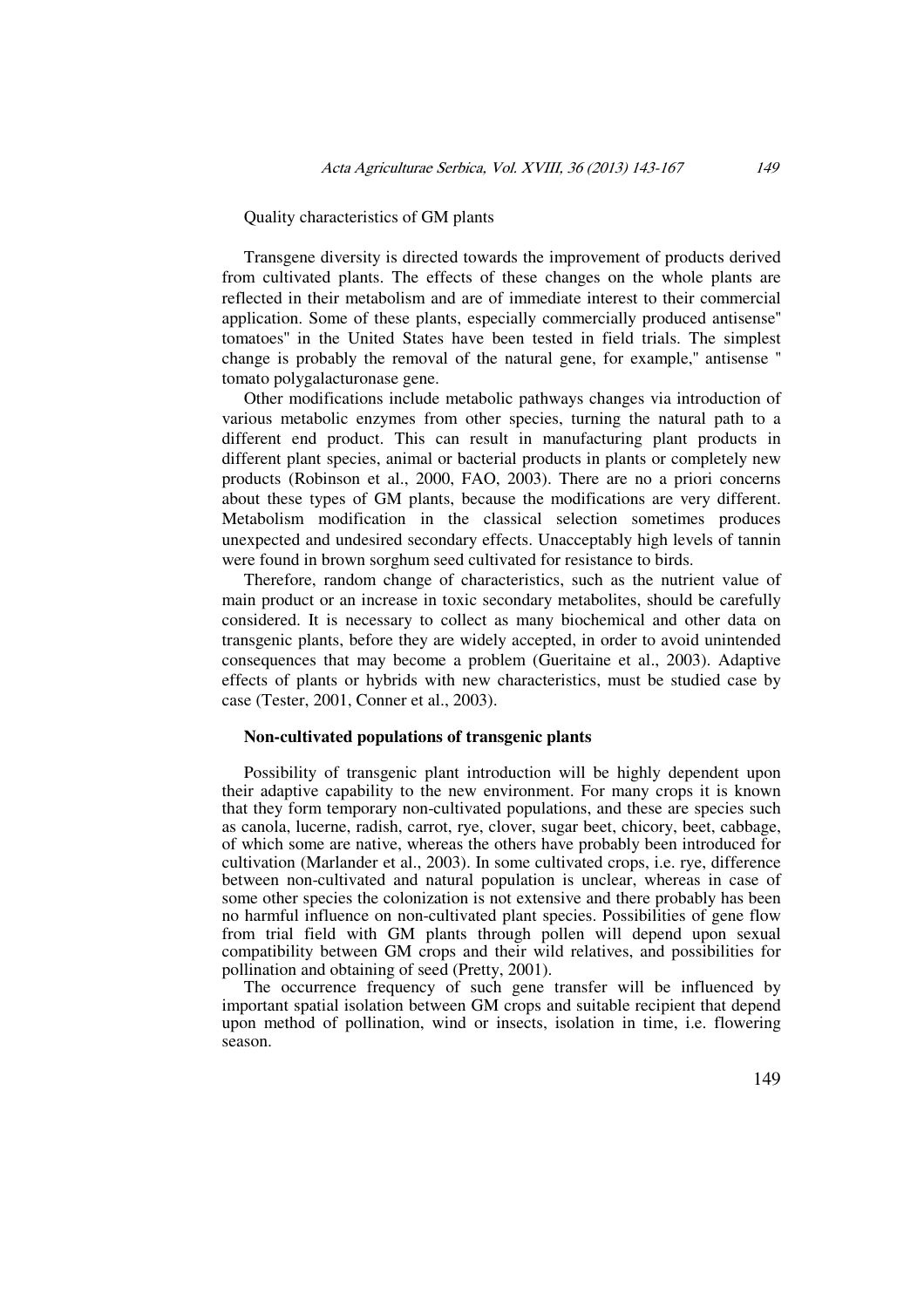### Quality characteristics of GM plants

Transgene diversity is directed towards the improvement of products derived from cultivated plants. The effects of these changes on the whole plants are reflected in their metabolism and are of immediate interest to their commercial application. Some of these plants, especially commercially produced antisense'' tomatoes'' in the United States have been tested in field trials. The simplest change is probably the removal of the natural gene, for example,'' antisense '' tomato polygalacturonase gene.

Other modifications include metabolic pathways changes via introduction of various metabolic enzymes from other species, turning the natural path to a different end product. This can result in manufacturing plant products in different plant species, animal or bacterial products in plants or completely new products (Robinson et al., 2000, FAO, 2003). There are no a priori concerns about these types of GM plants, because the modifications are very different. Metabolism modification in the classical selection sometimes produces unexpected and undesired secondary effects. Unacceptably high levels of tannin were found in brown sorghum seed cultivated for resistance to birds.

Therefore, random change of characteristics, such as the nutrient value of main product or an increase in toxic secondary metabolites, should be carefully considered. It is necessary to collect as many biochemical and other data on transgenic plants, before they are widely accepted, in order to avoid unintended consequences that may become a problem (Gueritaine et al., 2003). Adaptive effects of plants or hybrids with new characteristics, must be studied case by case (Tester, 2001, Conner et al., 2003).

#### **Non-cultivated populations of transgenic plants**

Possibility of transgenic plant introduction will be highly dependent upon their adaptive capability to the new environment. For many crops it is known that they form temporary non-cultivated populations, and these are species such as canola, lucerne, radish, carrot, rye, clover, sugar beet, chicory, beet, cabbage, of which some are native, whereas the others have probably been introduced for cultivation (Marlander et al., 2003). In some cultivated crops, i.e. rye, difference between non-cultivated and natural population is unclear, whereas in case of some other species the colonization is not extensive and there probably has been no harmful influence on non-cultivated plant species. Possibilities of gene flow from trial field with GM plants through pollen will depend upon sexual compatibility between GM crops and their wild relatives, and possibilities for pollination and obtaining of seed (Pretty, 2001).

The occurrence frequency of such gene transfer will be influenced by important spatial isolation between GM crops and suitable recipient that depend upon method of pollination, wind or insects, isolation in time, i.e. flowering season.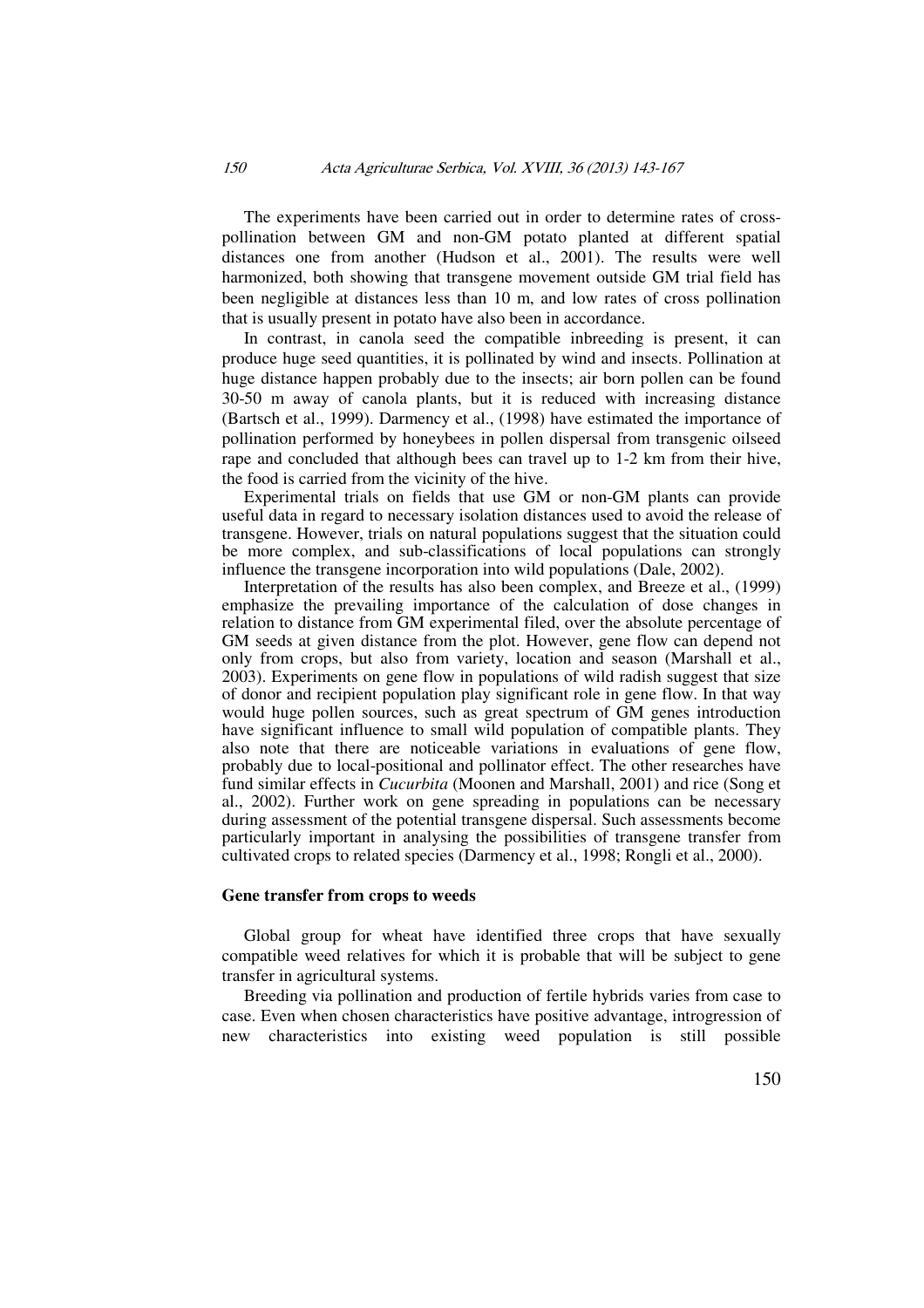The experiments have been carried out in order to determine rates of crosspollination between GM and non-GM potato planted at different spatial distances one from another (Hudson et al., 2001). The results were well harmonized, both showing that transgene movement outside GM trial field has been negligible at distances less than 10 m, and low rates of cross pollination that is usually present in potato have also been in accordance.

In contrast, in canola seed the compatible inbreeding is present, it can produce huge seed quantities, it is pollinated by wind and insects. Pollination at huge distance happen probably due to the insects; air born pollen can be found 30-50 m away of canola plants, but it is reduced with increasing distance (Bartsch et al., 1999). Darmency et al., (1998) have estimated the importance of pollination performed by honeybees in pollen dispersal from transgenic oilseed rape and concluded that although bees can travel up to 1-2 km from their hive, the food is carried from the vicinity of the hive.

Experimental trials on fields that use GM or non-GM plants can provide useful data in regard to necessary isolation distances used to avoid the release of transgene. However, trials on natural populations suggest that the situation could be more complex, and sub-classifications of local populations can strongly influence the transgene incorporation into wild populations (Dale, 2002).

Interpretation of the results has also been complex, and Breeze et al., (1999) emphasize the prevailing importance of the calculation of dose changes in relation to distance from GM experimental filed, over the absolute percentage of GM seeds at given distance from the plot. However, gene flow can depend not only from crops, but also from variety, location and season (Marshall et al., 2003). Experiments on gene flow in populations of wild radish suggest that size of donor and recipient population play significant role in gene flow. In that way would huge pollen sources, such as great spectrum of GM genes introduction have significant influence to small wild population of compatible plants. They also note that there are noticeable variations in evaluations of gene flow, probably due to local-positional and pollinator effect. The other researches have fund similar effects in *Cucurbita* (Moonen and Marshall, 2001) and rice (Song et al., 2002). Further work on gene spreading in populations can be necessary during assessment of the potential transgene dispersal. Such assessments become particularly important in analysing the possibilities of transgene transfer from cultivated crops to related species (Darmency et al., 1998; Rongli et al., 2000).

### **Gene transfer from crops to weeds**

Global group for wheat have identified three crops that have sexually compatible weed relatives for which it is probable that will be subject to gene transfer in agricultural systems.

Breeding via pollination and production of fertile hybrids varies from case to case. Even when chosen characteristics have positive advantage, introgression of new characteristics into existing weed population is still possible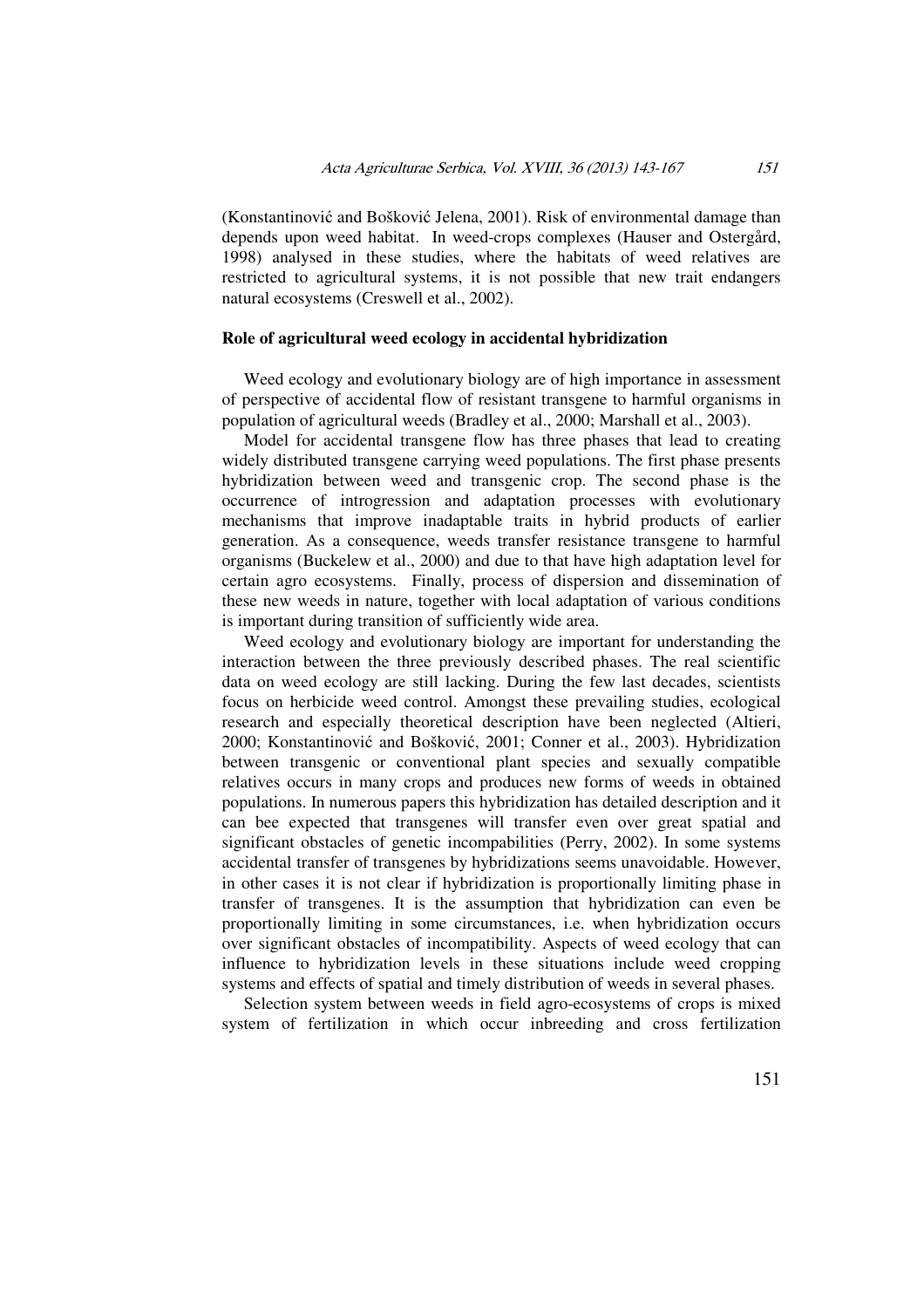(Konstantinović and Bošković Jelena, 2001). Risk of environmental damage than depends upon weed habitat. In weed-crops complexes (Hauser and Ostergård, 1998) analysed in these studies, where the habitats of weed relatives are restricted to agricultural systems, it is not possible that new trait endangers natural ecosystems (Creswell et al., 2002).

### **Role of agricultural weed ecology in accidental hybridization**

Weed ecology and evolutionary biology are of high importance in assessment of perspective of accidental flow of resistant transgene to harmful organisms in population of agricultural weeds (Bradley et al., 2000; Marshall et al., 2003).

Model for accidental transgene flow has three phases that lead to creating widely distributed transgene carrying weed populations. The first phase presents hybridization between weed and transgenic crop. The second phase is the occurrence of introgression and adaptation processes with evolutionary mechanisms that improve inadaptable traits in hybrid products of earlier generation. As a consequence, weeds transfer resistance transgene to harmful organisms (Buckelew et al., 2000) and due to that have high adaptation level for certain agro ecosystems. Finally, process of dispersion and dissemination of these new weeds in nature, together with local adaptation of various conditions is important during transition of sufficiently wide area.

Weed ecology and evolutionary biology are important for understanding the interaction between the three previously described phases. The real scientific data on weed ecology are still lacking. During the few last decades, scientists focus on herbicide weed control. Amongst these prevailing studies, ecological research and especially theoretical description have been neglected (Altieri, 2000; Konstantinović and Bošković, 2001; Conner et al., 2003). Hybridization between transgenic or conventional plant species and sexually compatible relatives occurs in many crops and produces new forms of weeds in obtained populations. In numerous papers this hybridization has detailed description and it can bee expected that transgenes will transfer even over great spatial and significant obstacles of genetic incompabilities (Perry, 2002). In some systems accidental transfer of transgenes by hybridizations seems unavoidable. However, in other cases it is not clear if hybridization is proportionally limiting phase in transfer of transgenes. It is the assumption that hybridization can even be proportionally limiting in some circumstances, i.e. when hybridization occurs over significant obstacles of incompatibility. Aspects of weed ecology that can influence to hybridization levels in these situations include weed cropping systems and effects of spatial and timely distribution of weeds in several phases.

Selection system between weeds in field agro-ecosystems of crops is mixed system of fertilization in which occur inbreeding and cross fertilization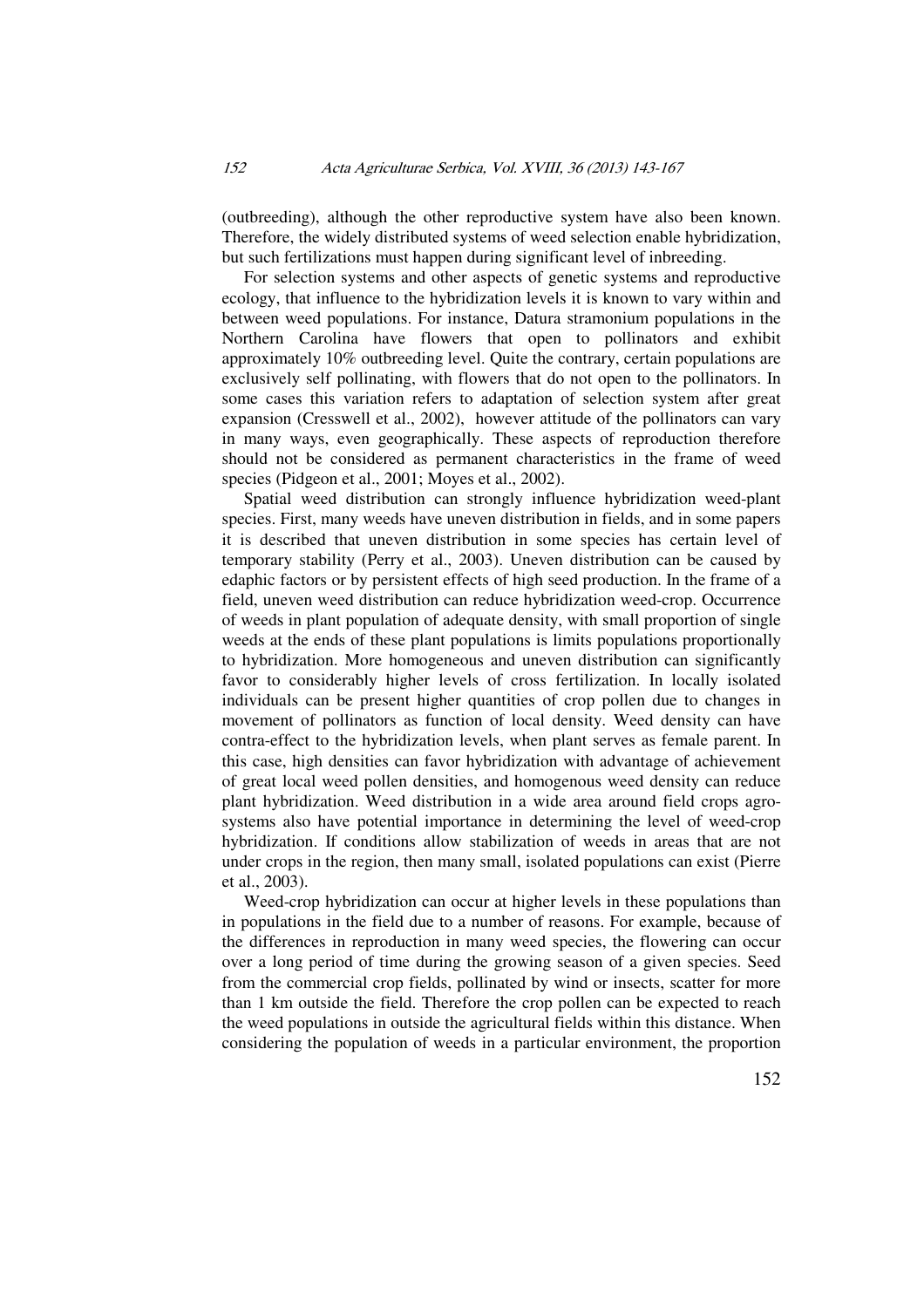(outbreeding), although the other reproductive system have also been known. Therefore, the widely distributed systems of weed selection enable hybridization, but such fertilizations must happen during significant level of inbreeding.

For selection systems and other aspects of genetic systems and reproductive ecology, that influence to the hybridization levels it is known to vary within and between weed populations. For instance, Datura stramonium populations in the Northern Carolina have flowers that open to pollinators and exhibit approximately 10% outbreeding level. Quite the contrary, certain populations are exclusively self pollinating, with flowers that do not open to the pollinators. In some cases this variation refers to adaptation of selection system after great expansion (Cresswell et al., 2002), however attitude of the pollinators can vary in many ways, even geographically. These aspects of reproduction therefore should not be considered as permanent characteristics in the frame of weed species (Pidgeon et al., 2001; Moyes et al., 2002).

Spatial weed distribution can strongly influence hybridization weed-plant species. First, many weeds have uneven distribution in fields, and in some papers it is described that uneven distribution in some species has certain level of temporary stability (Perry et al., 2003). Uneven distribution can be caused by edaphic factors or by persistent effects of high seed production. In the frame of a field, uneven weed distribution can reduce hybridization weed-crop. Occurrence of weeds in plant population of adequate density, with small proportion of single weeds at the ends of these plant populations is limits populations proportionally to hybridization. More homogeneous and uneven distribution can significantly favor to considerably higher levels of cross fertilization. In locally isolated individuals can be present higher quantities of crop pollen due to changes in movement of pollinators as function of local density. Weed density can have contra-effect to the hybridization levels, when plant serves as female parent. In this case, high densities can favor hybridization with advantage of achievement of great local weed pollen densities, and homogenous weed density can reduce plant hybridization. Weed distribution in a wide area around field crops agrosystems also have potential importance in determining the level of weed-crop hybridization. If conditions allow stabilization of weeds in areas that are not under crops in the region, then many small, isolated populations can exist (Pierre et al., 2003).

Weed-crop hybridization can occur at higher levels in these populations than in populations in the field due to a number of reasons. For example, because of the differences in reproduction in many weed species, the flowering can occur over a long period of time during the growing season of a given species. Seed from the commercial crop fields, pollinated by wind or insects, scatter for more than 1 km outside the field. Therefore the crop pollen can be expected to reach the weed populations in outside the agricultural fields within this distance. When considering the population of weeds in a particular environment, the proportion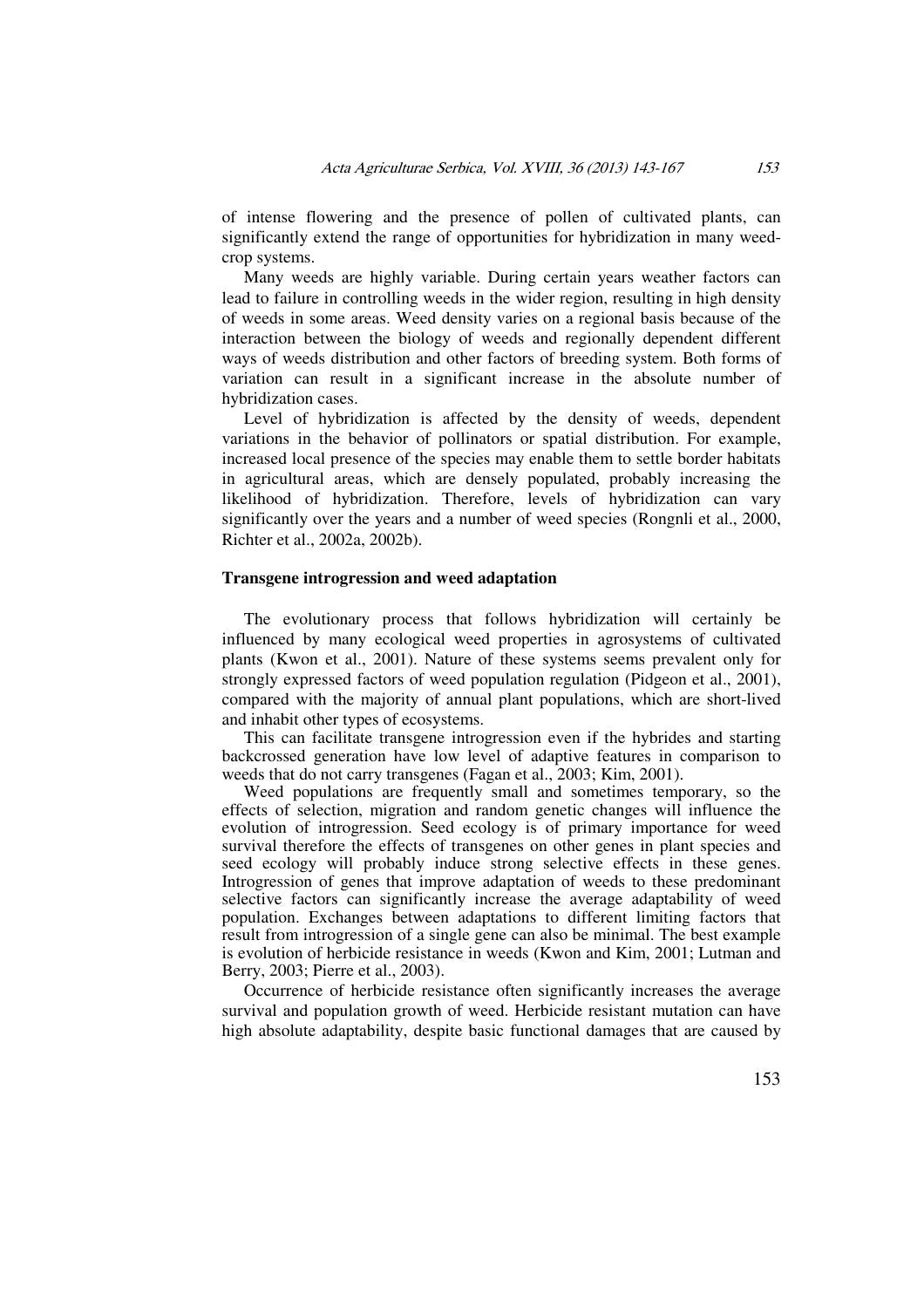of intense flowering and the presence of pollen of cultivated plants, can significantly extend the range of opportunities for hybridization in many weedcrop systems.

Many weeds are highly variable. During certain years weather factors can lead to failure in controlling weeds in the wider region, resulting in high density of weeds in some areas. Weed density varies on a regional basis because of the interaction between the biology of weeds and regionally dependent different ways of weeds distribution and other factors of breeding system. Both forms of variation can result in a significant increase in the absolute number of hybridization cases.

Level of hybridization is affected by the density of weeds, dependent variations in the behavior of pollinators or spatial distribution. For example, increased local presence of the species may enable them to settle border habitats in agricultural areas, which are densely populated, probably increasing the likelihood of hybridization. Therefore, levels of hybridization can vary significantly over the years and a number of weed species (Rongnli et al., 2000, Richter et al., 2002a, 2002b).

### **Transgene introgression and weed adaptation**

The evolutionary process that follows hybridization will certainly be influenced by many ecological weed properties in agrosystems of cultivated plants (Kwon et al., 2001). Nature of these systems seems prevalent only for strongly expressed factors of weed population regulation (Pidgeon et al., 2001), compared with the majority of annual plant populations, which are short-lived and inhabit other types of ecosystems.

This can facilitate transgene introgression even if the hybrides and starting backcrossed generation have low level of adaptive features in comparison to weeds that do not carry transgenes (Fagan et al., 2003; Kim, 2001).

Weed populations are frequently small and sometimes temporary, so the effects of selection, migration and random genetic changes will influence the evolution of introgression. Seed ecology is of primary importance for weed survival therefore the effects of transgenes on other genes in plant species and seed ecology will probably induce strong selective effects in these genes. Introgression of genes that improve adaptation of weeds to these predominant selective factors can significantly increase the average adaptability of weed population. Exchanges between adaptations to different limiting factors that result from introgression of a single gene can also be minimal. The best example is evolution of herbicide resistance in weeds (Kwon and Kim, 2001; Lutman and Berry, 2003; Pierre et al., 2003).

Occurrence of herbicide resistance often significantly increases the average survival and population growth of weed. Herbicide resistant mutation can have high absolute adaptability, despite basic functional damages that are caused by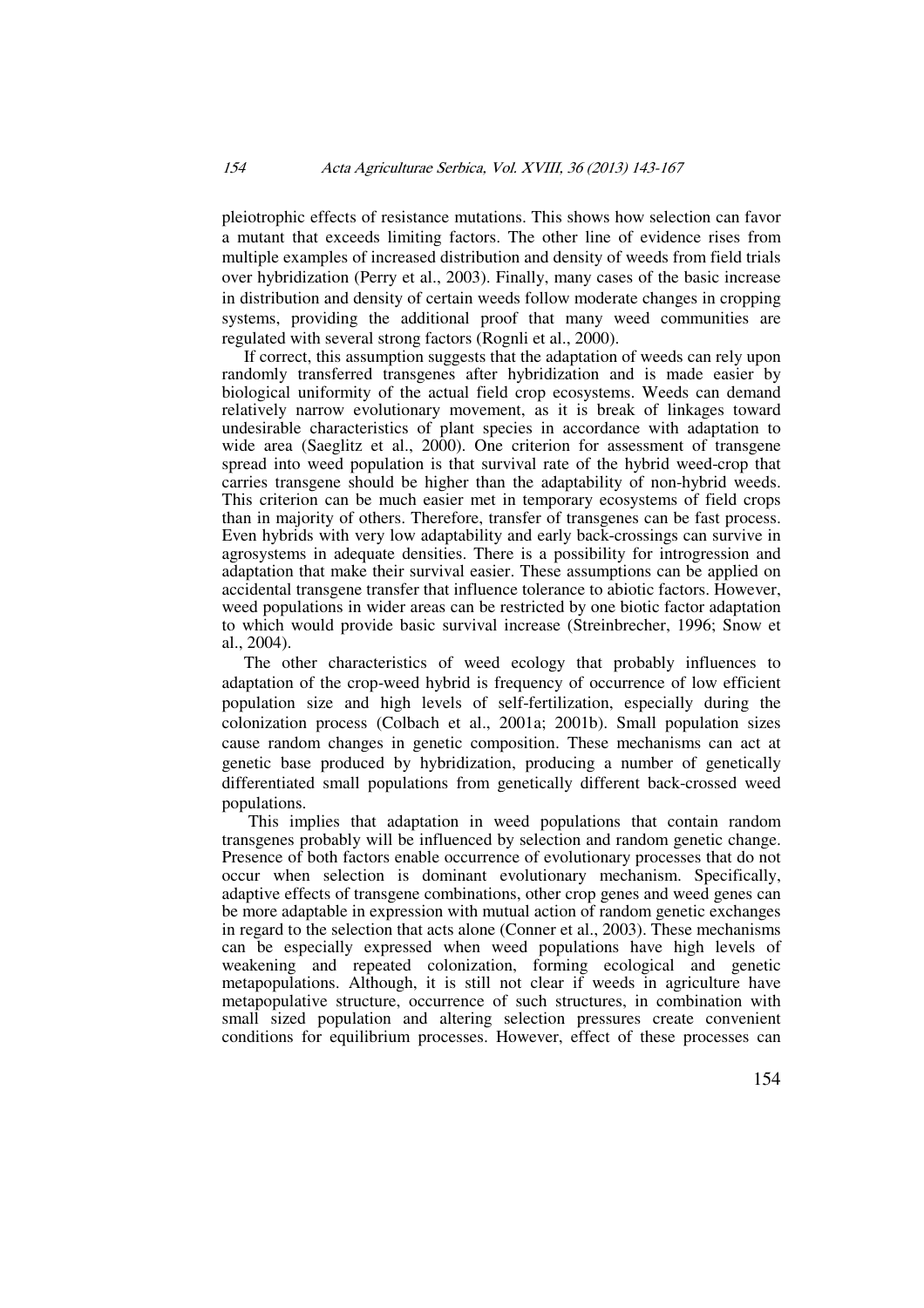pleiotrophic effects of resistance mutations. This shows how selection can favor a mutant that exceeds limiting factors. The other line of evidence rises from multiple examples of increased distribution and density of weeds from field trials over hybridization (Perry et al., 2003). Finally, many cases of the basic increase in distribution and density of certain weeds follow moderate changes in cropping systems, providing the additional proof that many weed communities are regulated with several strong factors (Rognli et al., 2000).

If correct, this assumption suggests that the adaptation of weeds can rely upon randomly transferred transgenes after hybridization and is made easier by biological uniformity of the actual field crop ecosystems. Weeds can demand relatively narrow evolutionary movement, as it is break of linkages toward undesirable characteristics of plant species in accordance with adaptation to wide area (Saeglitz et al., 2000). One criterion for assessment of transgene spread into weed population is that survival rate of the hybrid weed-crop that carries transgene should be higher than the adaptability of non-hybrid weeds. This criterion can be much easier met in temporary ecosystems of field crops than in majority of others. Therefore, transfer of transgenes can be fast process. Even hybrids with very low adaptability and early back-crossings can survive in agrosystems in adequate densities. There is a possibility for introgression and adaptation that make their survival easier. These assumptions can be applied on accidental transgene transfer that influence tolerance to abiotic factors. However, weed populations in wider areas can be restricted by one biotic factor adaptation to which would provide basic survival increase (Streinbrecher, 1996; Snow et al., 2004).

The other characteristics of weed ecology that probably influences to adaptation of the crop-weed hybrid is frequency of occurrence of low efficient population size and high levels of self-fertilization, especially during the colonization process (Colbach et al., 2001a; 2001b). Small population sizes cause random changes in genetic composition. These mechanisms can act at genetic base produced by hybridization, producing a number of genetically differentiated small populations from genetically different back-crossed weed populations.

 This implies that adaptation in weed populations that contain random transgenes probably will be influenced by selection and random genetic change. Presence of both factors enable occurrence of evolutionary processes that do not occur when selection is dominant evolutionary mechanism. Specifically, adaptive effects of transgene combinations, other crop genes and weed genes can be more adaptable in expression with mutual action of random genetic exchanges in regard to the selection that acts alone (Conner et al., 2003). These mechanisms can be especially expressed when weed populations have high levels of weakening and repeated colonization, forming ecological and genetic metapopulations. Although, it is still not clear if weeds in agriculture have metapopulative structure, occurrence of such structures, in combination with small sized population and altering selection pressures create convenient conditions for equilibrium processes. However, effect of these processes can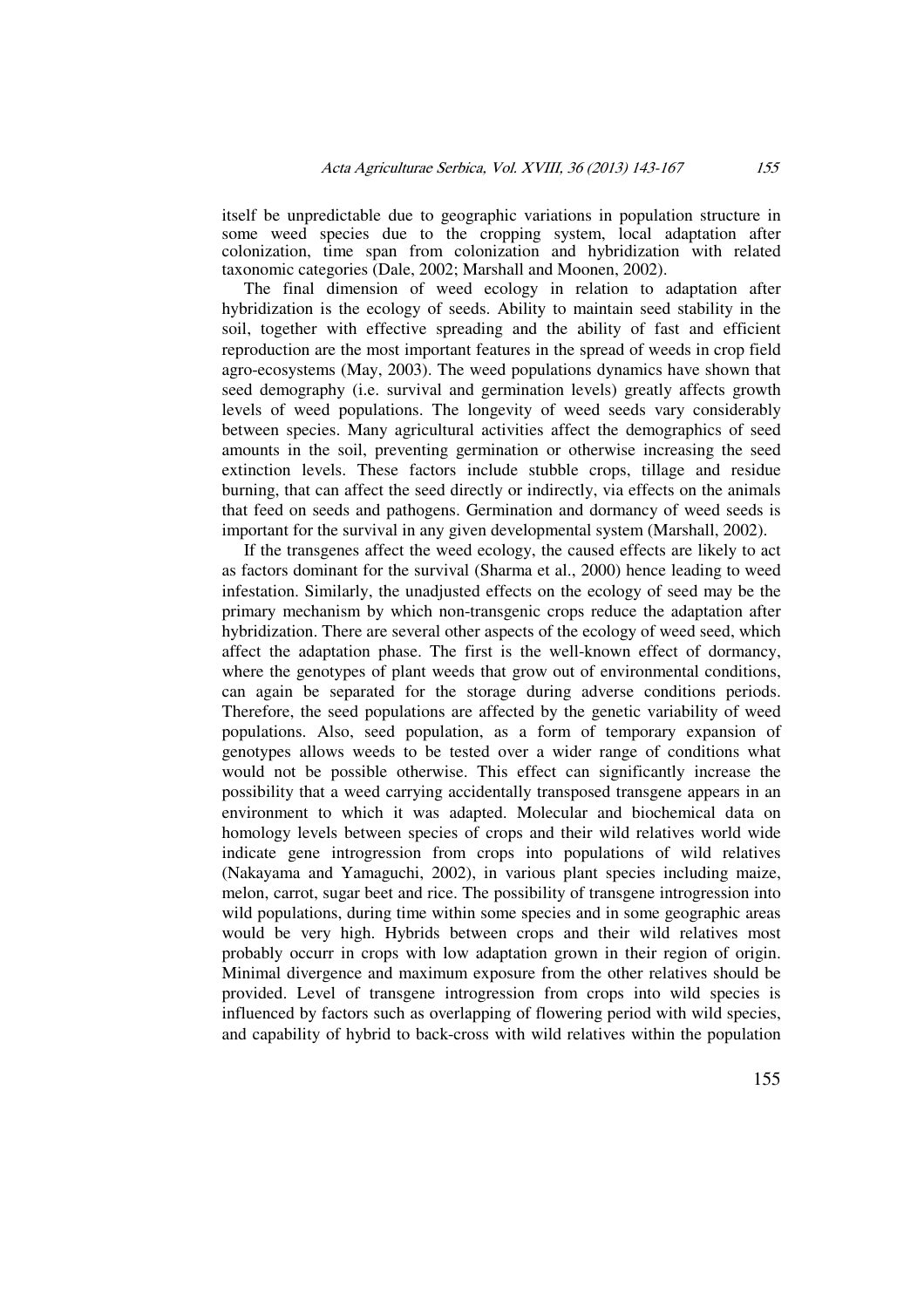itself be unpredictable due to geographic variations in population structure in some weed species due to the cropping system, local adaptation after colonization, time span from colonization and hybridization with related taxonomic categories (Dale, 2002; Marshall and Moonen, 2002).

The final dimension of weed ecology in relation to adaptation after hybridization is the ecology of seeds. Ability to maintain seed stability in the soil, together with effective spreading and the ability of fast and efficient reproduction are the most important features in the spread of weeds in crop field agro-ecosystems (May, 2003). The weed populations dynamics have shown that seed demography (i.e. survival and germination levels) greatly affects growth levels of weed populations. The longevity of weed seeds vary considerably between species. Many agricultural activities affect the demographics of seed amounts in the soil, preventing germination or otherwise increasing the seed extinction levels. These factors include stubble crops, tillage and residue burning, that can affect the seed directly or indirectly, via effects on the animals that feed on seeds and pathogens. Germination and dormancy of weed seeds is important for the survival in any given developmental system (Marshall, 2002).

If the transgenes affect the weed ecology, the caused effects are likely to act as factors dominant for the survival (Sharma et al., 2000) hence leading to weed infestation. Similarly, the unadjusted effects on the ecology of seed may be the primary mechanism by which non-transgenic crops reduce the adaptation after hybridization. There are several other aspects of the ecology of weed seed, which affect the adaptation phase. The first is the well-known effect of dormancy, where the genotypes of plant weeds that grow out of environmental conditions, can again be separated for the storage during adverse conditions periods. Therefore, the seed populations are affected by the genetic variability of weed populations. Also, seed population, as a form of temporary expansion of genotypes allows weeds to be tested over a wider range of conditions what would not be possible otherwise. This effect can significantly increase the possibility that a weed carrying accidentally transposed transgene appears in an environment to which it was adapted. Molecular and biochemical data on homology levels between species of crops and their wild relatives world wide indicate gene introgression from crops into populations of wild relatives (Nakayama and Yamaguchi, 2002), in various plant species including maize, melon, carrot, sugar beet and rice. The possibility of transgene introgression into wild populations, during time within some species and in some geographic areas would be very high. Hybrids between crops and their wild relatives most probably occurr in crops with low adaptation grown in their region of origin. Minimal divergence and maximum exposure from the other relatives should be provided. Level of transgene introgression from crops into wild species is influenced by factors such as overlapping of flowering period with wild species, and capability of hybrid to back-cross with wild relatives within the population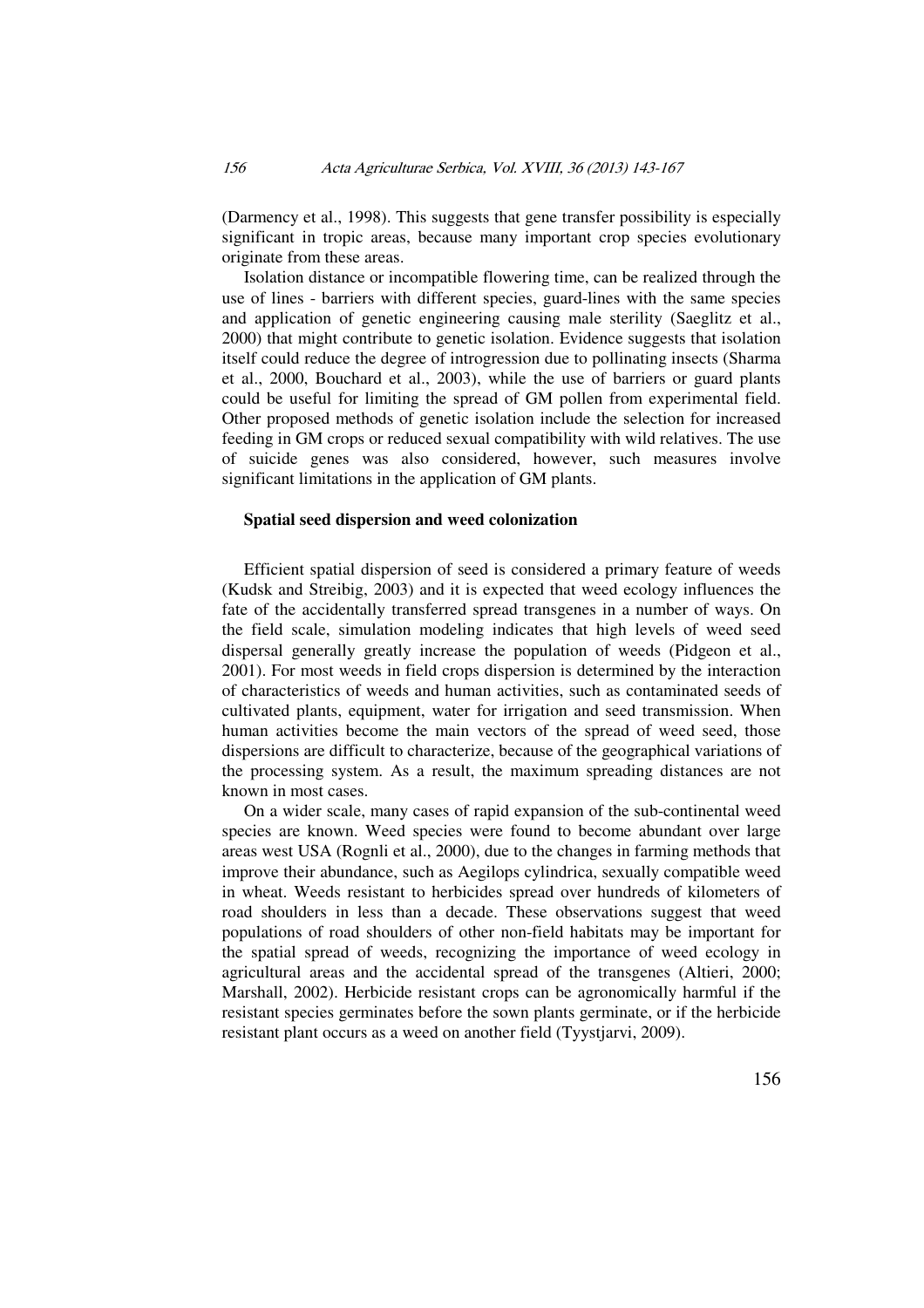(Darmency et al., 1998). This suggests that gene transfer possibility is especially significant in tropic areas, because many important crop species evolutionary originate from these areas.

Isolation distance or incompatible flowering time, can be realized through the use of lines - barriers with different species, guard-lines with the same species and application of genetic engineering causing male sterility (Saeglitz et al., 2000) that might contribute to genetic isolation. Evidence suggests that isolation itself could reduce the degree of introgression due to pollinating insects (Sharma et al., 2000, Bouchard et al., 2003), while the use of barriers or guard plants could be useful for limiting the spread of GM pollen from experimental field. Other proposed methods of genetic isolation include the selection for increased feeding in GM crops or reduced sexual compatibility with wild relatives. The use of suicide genes was also considered, however, such measures involve significant limitations in the application of GM plants.

# **Spatial seed dispersion and weed colonization**

Efficient spatial dispersion of seed is considered a primary feature of weeds (Kudsk and Streibig, 2003) and it is expected that weed ecology influences the fate of the accidentally transferred spread transgenes in a number of ways. On the field scale, simulation modeling indicates that high levels of weed seed dispersal generally greatly increase the population of weeds (Pidgeon et al., 2001). For most weeds in field crops dispersion is determined by the interaction of characteristics of weeds and human activities, such as contaminated seeds of cultivated plants, equipment, water for irrigation and seed transmission. When human activities become the main vectors of the spread of weed seed, those dispersions are difficult to characterize, because of the geographical variations of the processing system. As a result, the maximum spreading distances are not known in most cases.

On a wider scale, many cases of rapid expansion of the sub-continental weed species are known. Weed species were found to become abundant over large areas west USA (Rognli et al., 2000), due to the changes in farming methods that improve their abundance, such as Aegilops cylindrica, sexually compatible weed in wheat. Weeds resistant to herbicides spread over hundreds of kilometers of road shoulders in less than a decade. These observations suggest that weed populations of road shoulders of other non-field habitats may be important for the spatial spread of weeds, recognizing the importance of weed ecology in agricultural areas and the accidental spread of the transgenes (Altieri, 2000; Marshall, 2002). Herbicide resistant crops can be agronomically harmful if the resistant species germinates before the sown plants germinate, or if the herbicide resistant plant occurs as a weed on another field (Tyystjarvi, 2009).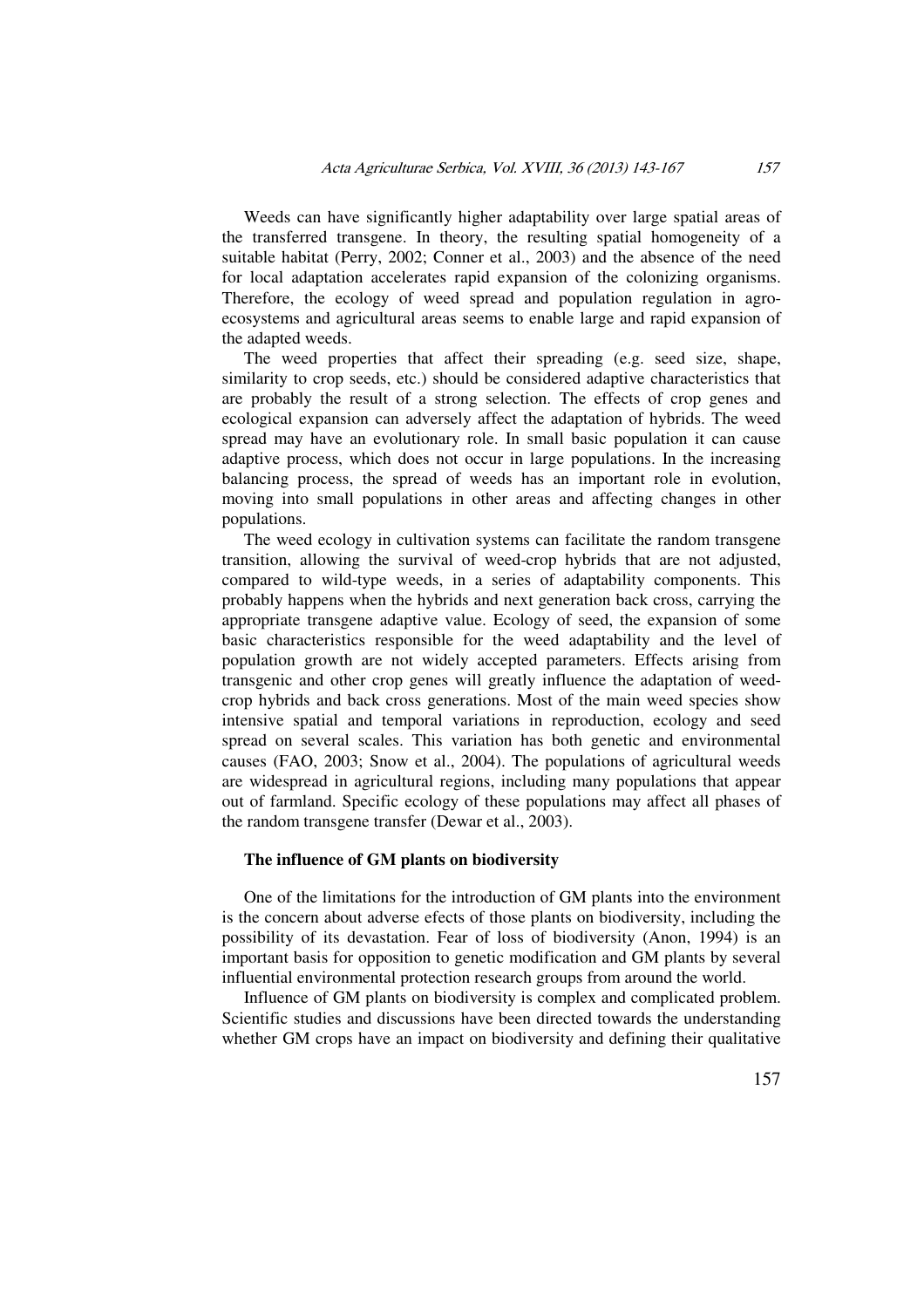Weeds can have significantly higher adaptability over large spatial areas of the transferred transgene. In theory, the resulting spatial homogeneity of a suitable habitat (Perry, 2002; Conner et al., 2003) and the absence of the need for local adaptation accelerates rapid expansion of the colonizing organisms. Therefore, the ecology of weed spread and population regulation in agroecosystems and agricultural areas seems to enable large and rapid expansion of the adapted weeds.

The weed properties that affect their spreading (e.g. seed size, shape, similarity to crop seeds, etc.) should be considered adaptive characteristics that are probably the result of a strong selection. The effects of crop genes and ecological expansion can adversely affect the adaptation of hybrids. The weed spread may have an evolutionary role. In small basic population it can cause adaptive process, which does not occur in large populations. In the increasing balancing process, the spread of weeds has an important role in evolution, moving into small populations in other areas and affecting changes in other populations.

The weed ecology in cultivation systems can facilitate the random transgene transition, allowing the survival of weed-crop hybrids that are not adjusted, compared to wild-type weeds, in a series of adaptability components. This probably happens when the hybrids and next generation back cross, carrying the appropriate transgene adaptive value. Ecology of seed, the expansion of some basic characteristics responsible for the weed adaptability and the level of population growth are not widely accepted parameters. Effects arising from transgenic and other crop genes will greatly influence the adaptation of weedcrop hybrids and back cross generations. Most of the main weed species show intensive spatial and temporal variations in reproduction, ecology and seed spread on several scales. This variation has both genetic and environmental causes (FAO, 2003; Snow et al., 2004). The populations of agricultural weeds are widespread in agricultural regions, including many populations that appear out of farmland. Specific ecology of these populations may affect all phases of the random transgene transfer (Dewar et al., 2003).

### **The influence of GM plants on biodiversity**

One of the limitations for the introduction of GM plants into the environment is the concern about adverse efects of those plants on biodiversity, including the possibility of its devastation. Fear of loss of biodiversity (Anon, 1994) is an important basis for opposition to genetic modification and GM plants by several influential environmental protection research groups from around the world.

Influence of GM plants on biodiversity is complex and complicated problem. Scientific studies and discussions have been directed towards the understanding whether GM crops have an impact on biodiversity and defining their qualitative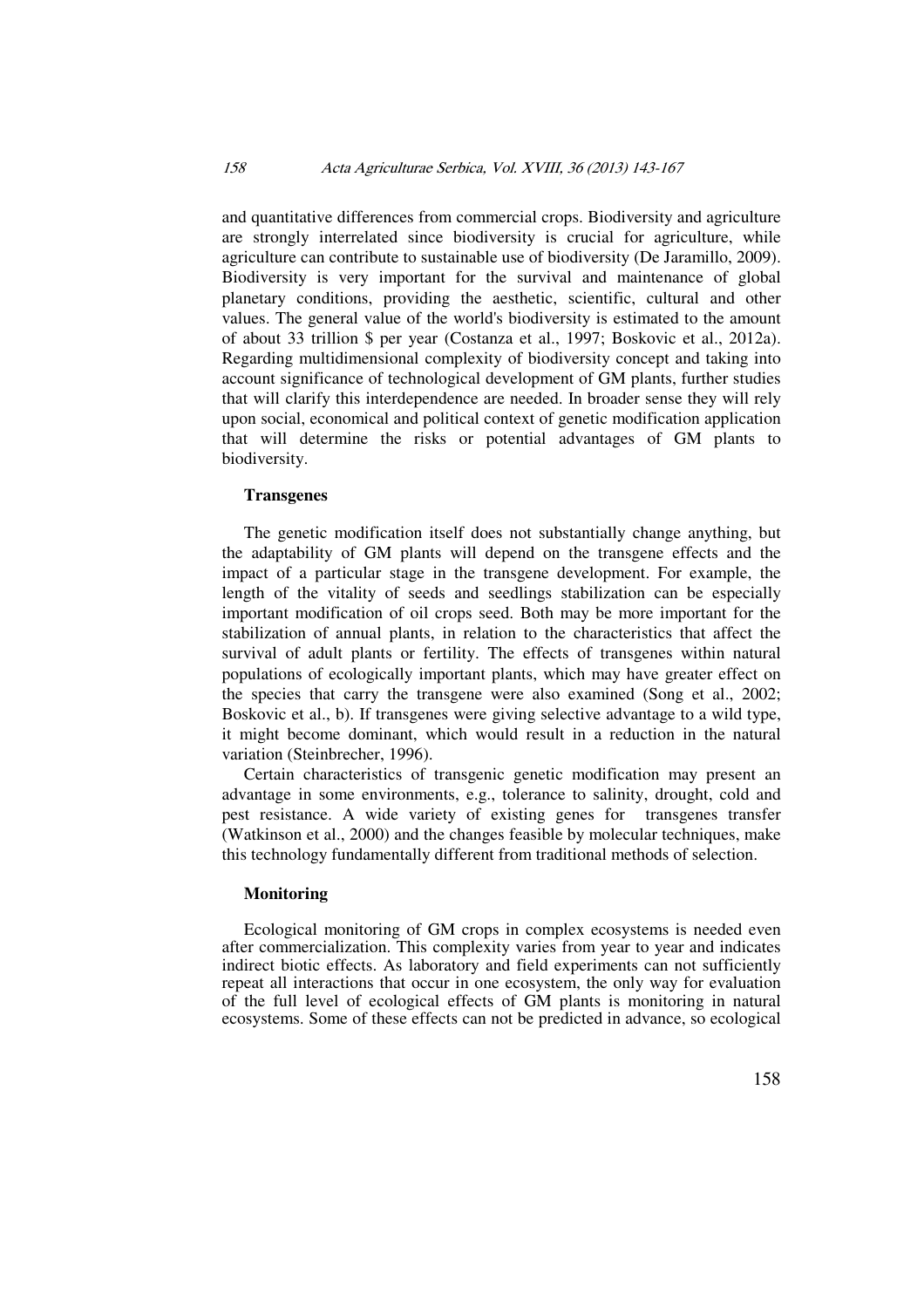### 158 Acta Agriculturae Serbica, Vol. XVIII, 36 (2013) 143-167

and quantitative differences from commercial crops. Biodiversity and agriculture are strongly interrelated since biodiversity is crucial for agriculture, while agriculture can contribute to sustainable use of biodiversity (De Jaramillo, 2009). Biodiversity is very important for the survival and maintenance of global planetary conditions, providing the aesthetic, scientific, cultural and other values. The general value of the world's biodiversity is estimated to the amount of about 33 trillion \$ per year (Costanza et al., 1997; Boskovic et al., 2012a). Regarding multidimensional complexity of biodiversity concept and taking into account significance of technological development of GM plants, further studies that will clarify this interdependence are needed. In broader sense they will rely upon social, economical and political context of genetic modification application that will determine the risks or potential advantages of GM plants to biodiversity.

### **Transgenes**

The genetic modification itself does not substantially change anything, but the adaptability of GM plants will depend on the transgene effects and the impact of a particular stage in the transgene development. For example, the length of the vitality of seeds and seedlings stabilization can be especially important modification of oil crops seed. Both may be more important for the stabilization of annual plants, in relation to the characteristics that affect the survival of adult plants or fertility. The effects of transgenes within natural populations of ecologically important plants, which may have greater effect on the species that carry the transgene were also examined (Song et al., 2002; Boskovic et al., b). If transgenes were giving selective advantage to a wild type, it might become dominant, which would result in a reduction in the natural variation (Steinbrecher, 1996).

Certain characteristics of transgenic genetic modification may present an advantage in some environments, e.g., tolerance to salinity, drought, cold and pest resistance. A wide variety of existing genes for transgenes transfer (Watkinson et al., 2000) and the changes feasible by molecular techniques, make this technology fundamentally different from traditional methods of selection.

#### **Monitoring**

Ecological monitoring of GM crops in complex ecosystems is needed even after commercialization. This complexity varies from year to year and indicates indirect biotic effects. As laboratory and field experiments can not sufficiently repeat all interactions that occur in one ecosystem, the only way for evaluation of the full level of ecological effects of GM plants is monitoring in natural ecosystems. Some of these effects can not be predicted in advance, so ecological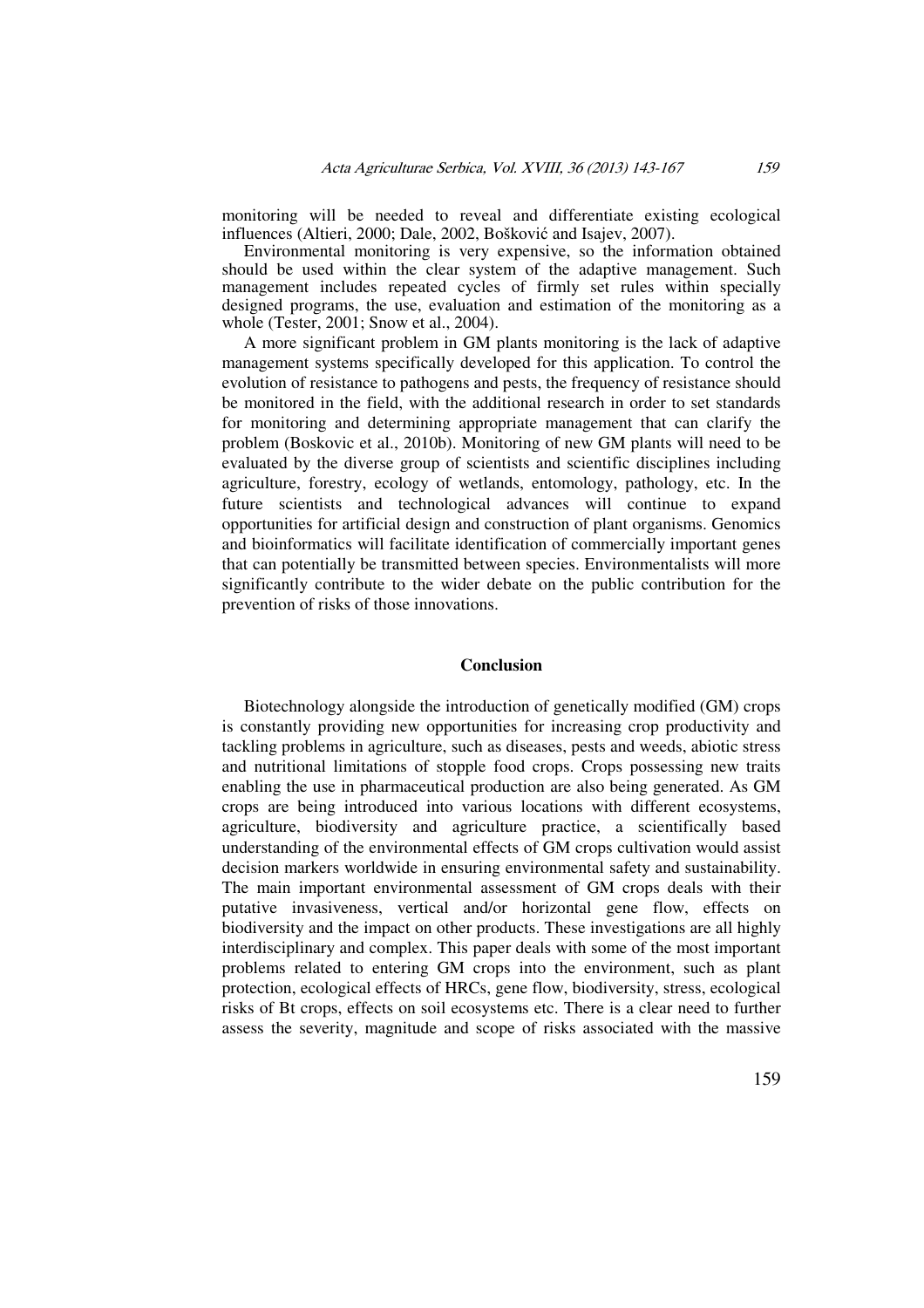monitoring will be needed to reveal and differentiate existing ecological influences (Altieri, 2000; Dale, 2002, Bošković and Isajev, 2007).

Environmental monitoring is very expensive, so the information obtained should be used within the clear system of the adaptive management. Such management includes repeated cycles of firmly set rules within specially designed programs, the use, evaluation and estimation of the monitoring as a whole (Tester, 2001; Snow et al., 2004).

A more significant problem in GM plants monitoring is the lack of adaptive management systems specifically developed for this application. To control the evolution of resistance to pathogens and pests, the frequency of resistance should be monitored in the field, with the additional research in order to set standards for monitoring and determining appropriate management that can clarify the problem (Boskovic et al., 2010b). Monitoring of new GM plants will need to be evaluated by the diverse group of scientists and scientific disciplines including agriculture, forestry, ecology of wetlands, entomology, pathology, etc. In the future scientists and technological advances will continue to expand opportunities for artificial design and construction of plant organisms. Genomics and bioinformatics will facilitate identification of commercially important genes that can potentially be transmitted between species. Environmentalists will more significantly contribute to the wider debate on the public contribution for the prevention of risks of those innovations.

### **Conclusion**

Biotechnology alongside the introduction of genetically modified (GM) crops is constantly providing new opportunities for increasing crop productivity and tackling problems in agriculture, such as diseases, pests and weeds, abiotic stress and nutritional limitations of stopple food crops. Crops possessing new traits enabling the use in pharmaceutical production are also being generated. As GM crops are being introduced into various locations with different ecosystems, agriculture, biodiversity and agriculture practice, a scientifically based understanding of the environmental effects of GM crops cultivation would assist decision markers worldwide in ensuring environmental safety and sustainability. The main important environmental assessment of GM crops deals with their putative invasiveness, vertical and/or horizontal gene flow, effects on biodiversity and the impact on other products. These investigations are all highly interdisciplinary and complex. This paper deals with some of the most important problems related to entering GM crops into the environment, such as plant protection, ecological effects of HRCs, gene flow, biodiversity, stress, ecological risks of Bt crops, effects on soil ecosystems etc. There is a clear need to further assess the severity, magnitude and scope of risks associated with the massive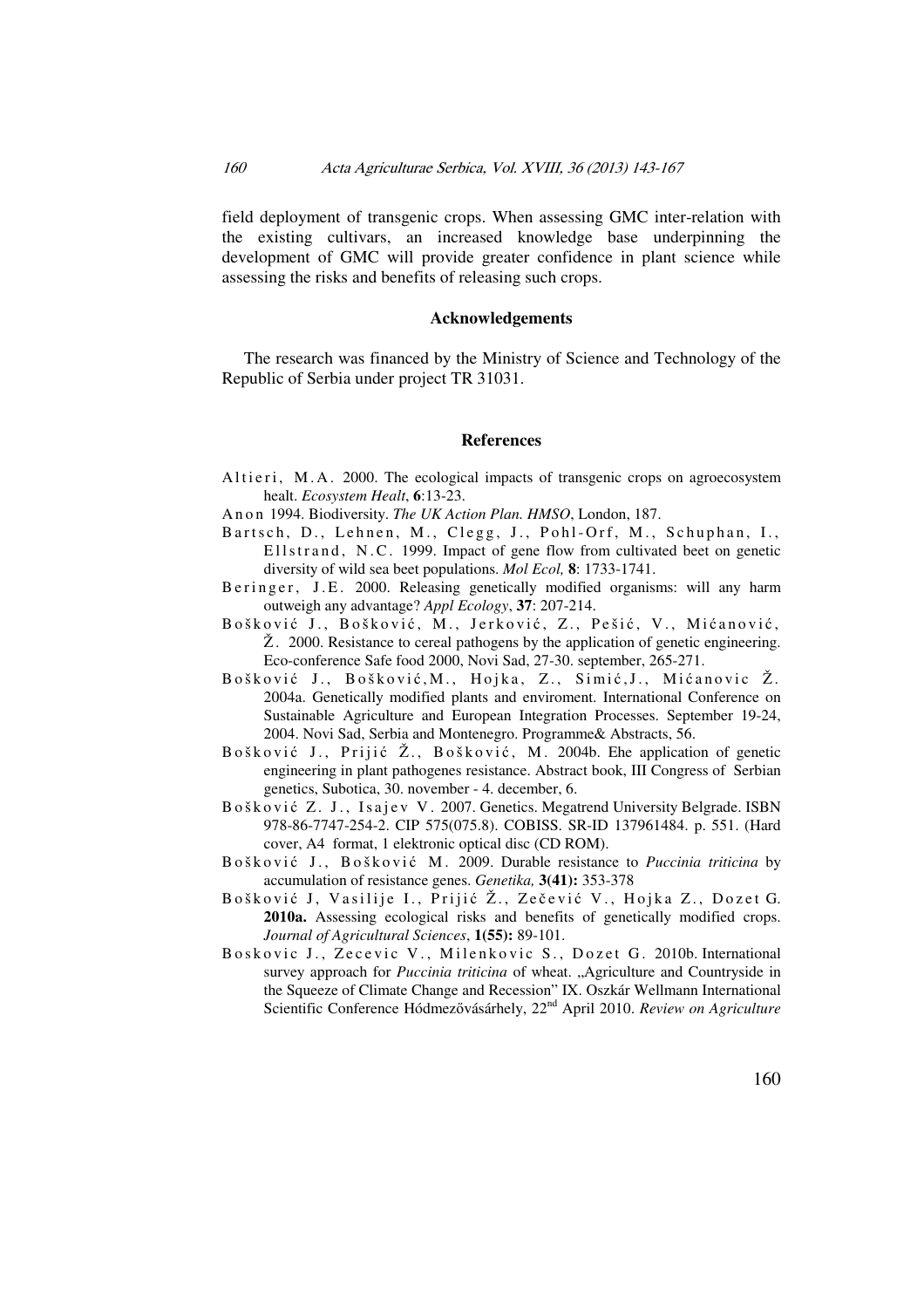field deployment of transgenic crops. When assessing GMC inter-relation with the existing cultivars, an increased knowledge base underpinning the development of GMC will provide greater confidence in plant science while assessing the risks and benefits of releasing such crops.

### **Acknowledgements**

The research was financed by the Ministry of Science and Technology of the Republic of Serbia under project TR 31031.

#### **References**

- Altieri, M.A. 2000. The ecological impacts of transgenic crops on agroecosystem healt. *Ecosystem Healt*, **6**:13-23.
- An on 1994. Biodiversity. *The UK Action Plan. HMSO*, London, 187.
- Bartsch, D., Lehnen, M., Clegg, J., Pohl-Orf, M., Schuphan, I., Ellstrand, N.C. 1999. Impact of gene flow from cultivated beet on genetic diversity of wild sea beet populations. *Mol Ecol,* **8**: 1733-1741.
- B e ringer, J.E. 2000. Releasing genetically modified organisms: will any harm outweigh any advantage? *Appl Ecology*, **37**: 207-214.
- Bošković J., Bošković, M., Jerković, Z., Pešić, V., Mićanović,  $\check{Z}$ . 2000. Resistance to cereal pathogens by the application of genetic engineering. Eco-conference Safe food 2000, Novi Sad, 27-30. september, 265-271.
- Bošković J., Bošković, M., Hojka, Z., Simić, J., Mićanovic Ž. 2004a. Genetically modified plants and enviroment. International Conference on Sustainable Agriculture and European Integration Processes. September 19-24, 2004. Novi Sad, Serbia and Montenegro. Programme& Abstracts, 56.
- Bošković J., Prijić Ž., Bošković, M. 2004b. Ehe application of genetic engineering in plant pathogenes resistance. Abstract book, III Congress of Serbian genetics, Subotica, 30. november - 4. december, 6.
- Bošković Z. J., Isajev V. 2007. Genetics. Megatrend University Belgrade. ISBN 978-86-7747-254-2. CIP 575(075.8). COBISS. SR-ID 137961484. p. 551. (Hard cover, A4 format, 1 elektronic optical disc (CD ROM).
- Bošković J., Bošković M. 2009. Durable resistance to *Puccinia triticina* by accumulation of resistance genes. *Genetika,* **3(41):** 353-378
- Bošković J, Vasilije I., Prijić Ž., Zečević V., Hojka Z., Dozet G. **2010a.** Assessing ecological risks and benefits of genetically modified crops. *Journal of Agricultural Sciences*, **1(55):** 89-101.
- Boskovic J., Zecevic V., Milenkovic S., Dozet G. 2010b. International survey approach for *Puccinia triticina* of wheat. "Agriculture and Countryside in the Squeeze of Climate Change and Recession" IX. Oszkár Wellmann International Scientific Conference Hódmezővásárhely, 22nd April 2010. *Review on Agriculture*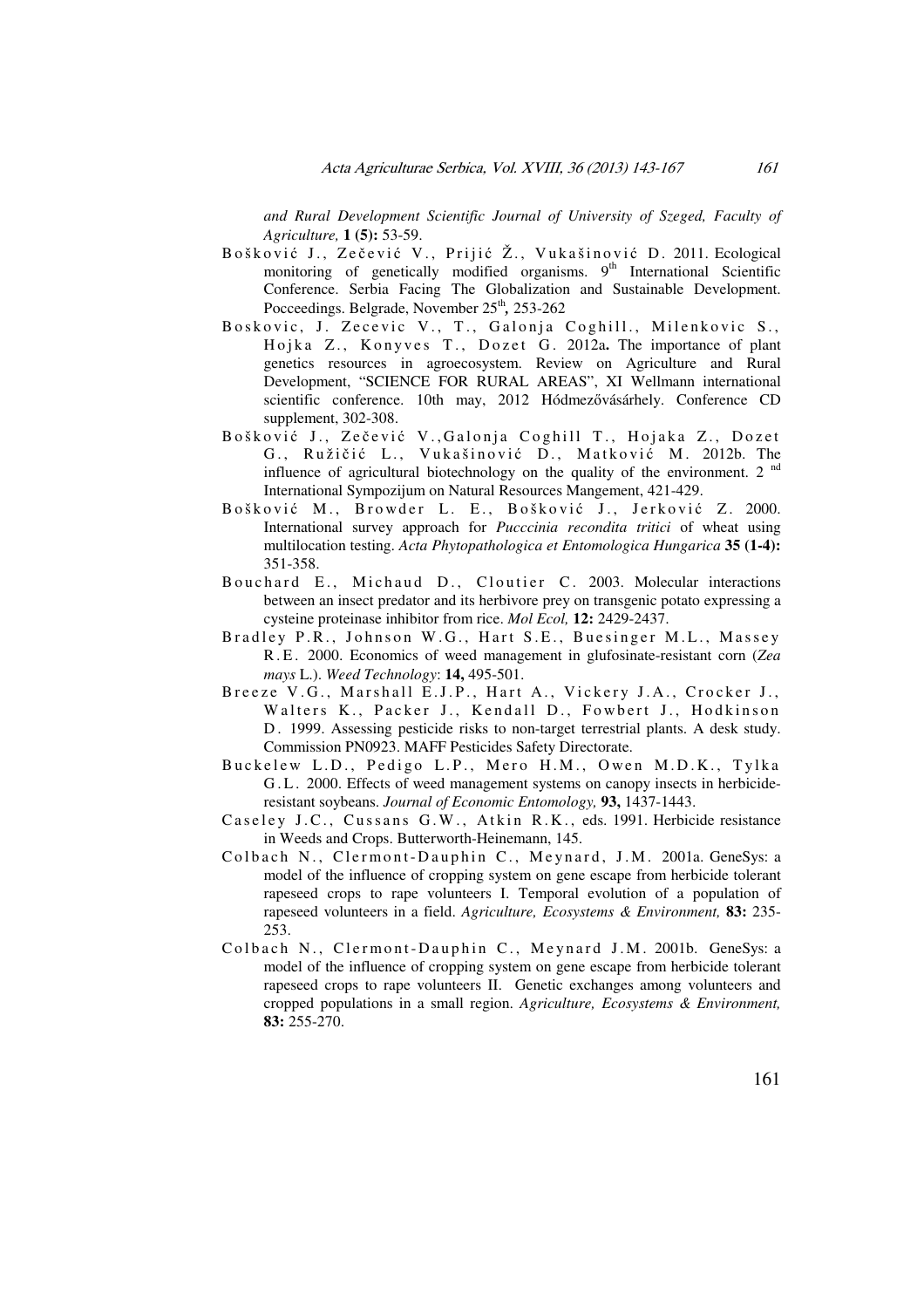*and Rural Development Scientific Journal of University of Szeged, Faculty of Agriculture,* **1 (5):** 53-59.

- Bošković J., Zečević V., Prijić Ž., Vukašinović D. 2011. Ecological monitoring of genetically modified organisms. 9<sup>th</sup> International Scientific Conference. Serbia Facing The Globalization and Sustainable Development. Pocceedings. Belgrade, November 25<sup>th</sup>, 253-262
- Boskovic, J. Zecevic V., T., Galonja Coghill., Milenkovic S., Hojka Z., Konyves T., Dozet G. 2012a. The importance of plant genetics resources in agroecosystem. Review on Agriculture and Rural Development, "SCIENCE FOR RURAL AREAS", XI Wellmann international scientific conference. 10th may, 2012 Hódmezővásárhely. Conference CD supplement, 302-308.
- Bošković J., Zečević V., Galonja Coghill T., Hojaka Z., Dozet G., Ružičić L., Vukašinović D., Matković M. 2012b. The influence of agricultural biotechnology on the quality of the environment. 2  $<sup>nd</sup>$ </sup> International Sympozijum on Natural Resources Mangement, 421-429.
- Bošković M., Browder L. E., Bošković J., Jerković Z. 2000. International survey approach for *Pucccinia recondita tritici* of wheat using multilocation testing. *Acta Phytopathologica et Entomologica Hungarica* **35 (1-4):** 351-358.
- Bouchard E., Michaud D., Cloutier C. 2003. Molecular interactions between an insect predator and its herbivore prey on transgenic potato expressing a cysteine proteinase inhibitor from rice. *Mol Ecol,* **12:** 2429-2437.
- Bradley P.R., Johnson W.G., Hart S.E., Buesinger M.L., Massey R . E . 2000. Economics of weed management in glufosinate-resistant corn (*Zea mays* L.). *Weed Technology*: **14,** 495-501.
- Breeze V.G., Marshall E.J.P., Hart A., Vickery J.A., Crocker J., Walters K., Packer J., Kendall D., Fowbert J., Hodkinson D. 1999. Assessing pesticide risks to non-target terrestrial plants. A desk study. Commission PN0923. MAFF Pesticides Safety Directorate.
- Buckelew L.D., Pedigo L.P., Mero H.M., Owen M.D.K., Tylka G.L. 2000. Effects of weed management systems on canopy insects in herbicideresistant soybeans. *Journal of Economic Entomology,* **93,** 1437-1443.
- Caseley J.C., Cussans G.W., Atkin R.K., eds. 1991. Herbicide resistance in Weeds and Crops. Butterworth-Heinemann, 145.
- Colbach N., Clermont-Dauphin C., Meynard, J.M. 2001a. GeneSys: a model of the influence of cropping system on gene escape from herbicide tolerant rapeseed crops to rape volunteers I. Temporal evolution of a population of rapeseed volunteers in a field. *Agriculture, Ecosystems & Environment,* **83:** 235- 253.
- Colbach N., Clermont-Dauphin C., Meynard J.M. 2001b. GeneSys: a model of the influence of cropping system on gene escape from herbicide tolerant rapeseed crops to rape volunteers II. Genetic exchanges among volunteers and cropped populations in a small region. *Agriculture, Ecosystems & Environment,* **83:** 255-270.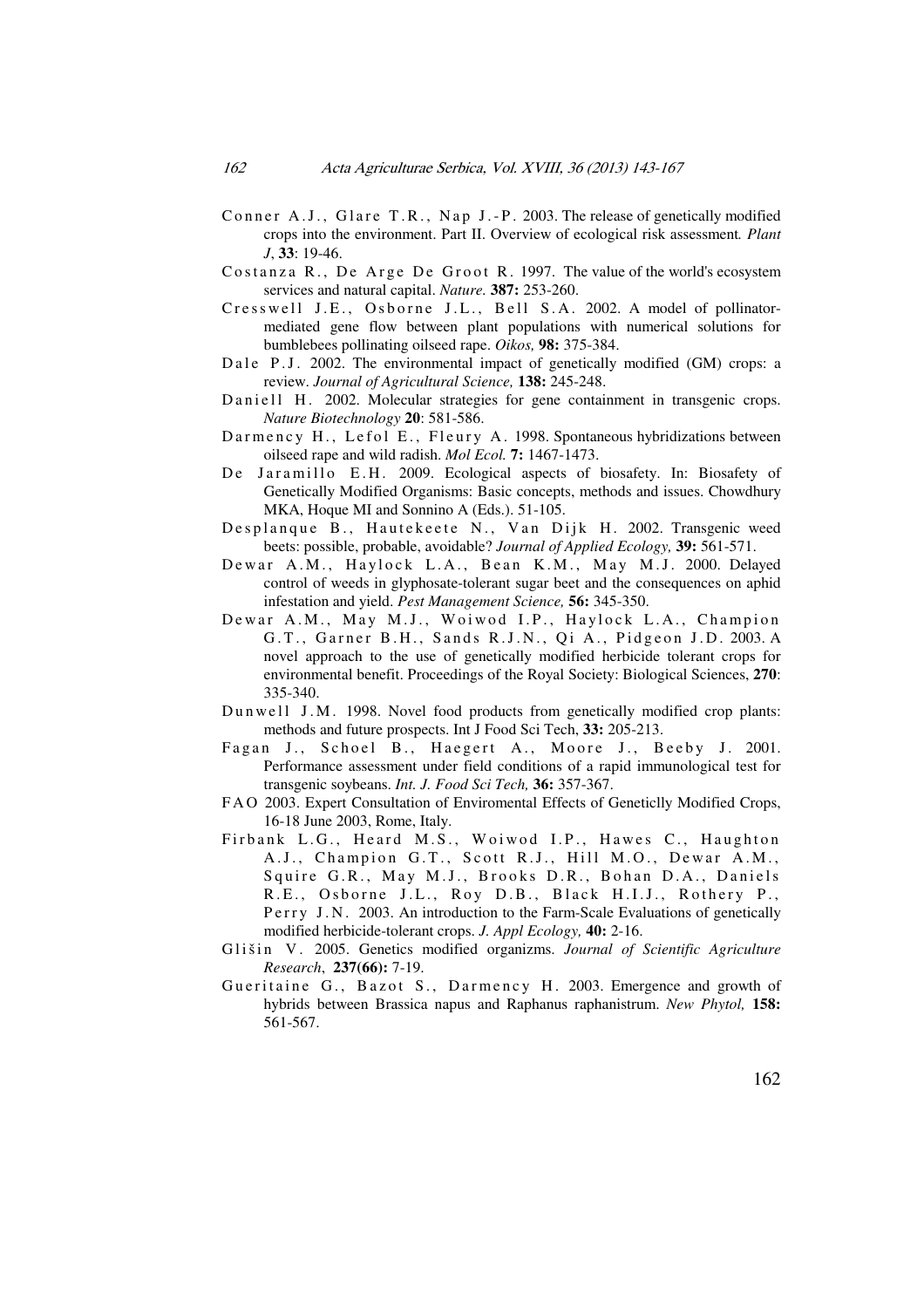- Conner A.J., Glare T.R., Nap J.-P. 2003. The release of genetically modified crops into the environment. Part II. Overview of ecological risk assessment*. Plant J*, **33**: 19-46.
- Costanza R., De Arge De Groot R. 1997. The value of the world's ecosystem services and natural capital. *Nature.* **387:** 253-260.
- Cresswell J.E., Osborne J.L., Bell S.A. 2002. A model of pollinatormediated gene flow between plant populations with numerical solutions for bumblebees pollinating oilseed rape. *Oikos,* **98:** 375-384.
- Dale P.J. 2002. The environmental impact of genetically modified (GM) crops: a review. *Journal of Agricultural Science,* **138:** 245-248.
- Daniell H. 2002. Molecular strategies for gene containment in transgenic crops. *Nature Biotechnology* **20**: 581-586.
- Darmency H., Lefol E., Fleury A. 1998. Spontaneous hybridizations between oilseed rape and wild radish. *Mol Ecol.* **7:** 1467-1473.
- De Jaramillo E.H. 2009. Ecological aspects of biosafety. In: Biosafety of Genetically Modified Organisms: Basic concepts, methods and issues. Chowdhury MKA, Hoque MI and Sonnino A (Eds.). 51-105.
- Desplanque B., Hautekeete N., Van Dijk H. 2002. Transgenic weed beets: possible, probable, avoidable? *Journal of Applied Ecology,* **39:** 561-571.
- Dewar A.M., Haylock L.A., Bean K.M., May M.J. 2000. Delayed control of weeds in glyphosate-tolerant sugar beet and the consequences on aphid infestation and yield. *Pest Management Science,* **56:** 345-350.
- Dewar A.M., May M.J., Woiwod I.P., Haylock L.A., Champion G.T., Garner B.H., Sands R.J.N., Qi A., Pidgeon J.D. 2003. A novel approach to the use of genetically modified herbicide tolerant crops for environmental benefit. Proceedings of the Royal Society: Biological Sciences, **270**: 335-340.
- Dun we ll J.M. 1998. Novel food products from genetically modified crop plants: methods and future prospects. Int J Food Sci Tech, **33:** 205-213.
- Fagan J., Schoel B., Haegert A., Moore J., Beeby J. 2001. Performance assessment under field conditions of a rapid immunological test for transgenic soybeans. *Int. J. Food Sci Tech,* **36:** 357-367.
- F A O 2003. Expert Consultation of Enviromental Effects of Geneticlly Modified Crops, 16-18 June 2003, Rome, Italy.
- Firbank L.G., Heard M.S., Woiwod I.P., Hawes C., Haughton A.J., Champion G.T., Scott R.J., Hill M.O., Dewar A.M., Squire G.R., May M.J., Brooks D.R., Bohan D.A., Daniels R.E., Osborne J.L., Roy D.B., Black H.I.J., Rothery P., Perry J.N. 2003. An introduction to the Farm-Scale Evaluations of genetically modified herbicide-tolerant crops. *J. Appl Ecology,* **40:** 2-16.
- Glišin V. 2005. Genetics modified organizms. *Journal of Scientific Agriculture Research*, **237(66):** 7-19.
- Gueritaine G., Bazot S., Darmency H. 2003. Emergence and growth of hybrids between Brassica napus and Raphanus raphanistrum. *New Phytol,* **158:** 561-567.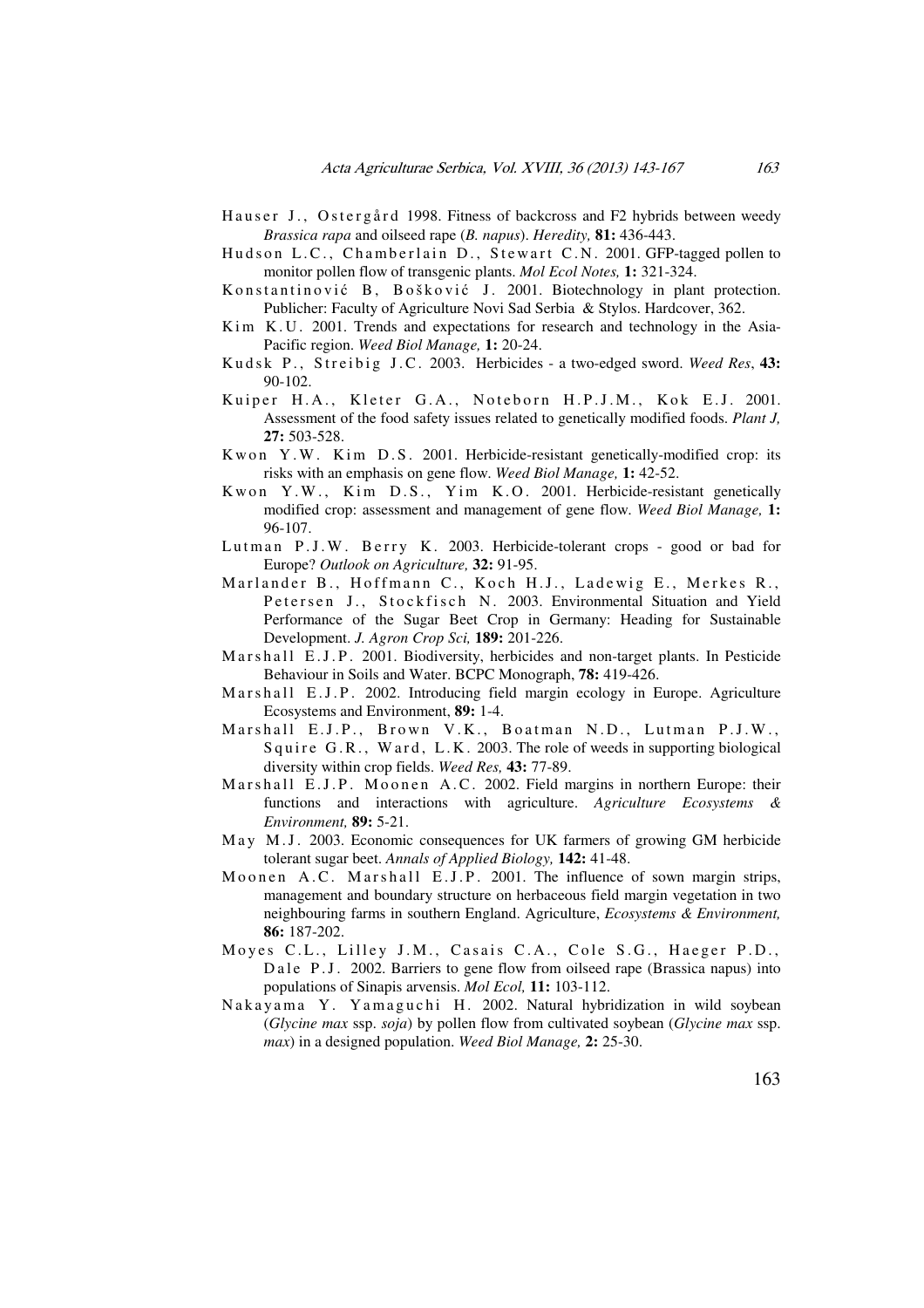- Hauser J., Ostergård 1998. Fitness of backcross and F2 hybrids between weedy *Brassica rapa* and oilseed rape (*B. napus*). *Heredity,* **81:** 436-443.
- Hudson L.C., Chamberlain D., Stewart C.N. 2001. GFP-tagged pollen to monitor pollen flow of transgenic plants. *Mol Ecol Notes,* **1:** 321-324.
- Konstantinović B, Bošković J. 2001. Biotechnology in plant protection. Publicher: Faculty of Agriculture Novi Sad Serbia & Stylos. Hardcover, 362.
- K im K.U. 2001. Trends and expectations for research and technology in the Asia-Pacific region. *Weed Biol Manage,* **1:** 20-24.
- Kudsk P., Streibig J.C. 2003. Herbicides a two-edged sword. Weed Res, 43: 90-102.
- Kuiper H.A., Kleter G.A., Noteborn H.P.J.M., Kok E.J. 2001. Assessment of the food safety issues related to genetically modified foods. *Plant J,* **27:** 503-528.
- K w on Y.W. Kim D.S. 2001. Herbicide-resistant genetically-modified crop: its risks with an emphasis on gene flow. *Weed Biol Manage,* **1:** 42-52.
- Kwon Y.W., Kim D.S., Yim K.O. 2001. Herbicide-resistant genetically modified crop: assessment and management of gene flow. *Weed Biol Manage,* **1:** 96-107.
- Lutman P.J.W. Berry K. 2003. Herbicide-tolerant crops good or bad for Europe? *Outlook on Agriculture,* **32:** 91-95.
- Marlander B., Hoffmann C., Koch H.J., Ladewig E., Merkes R., Petersen J., Stockfisch N. 2003. Environmental Situation and Yield Performance of the Sugar Beet Crop in Germany: Heading for Sustainable Development. *J. Agron Crop Sci,* **189:** 201-226.
- Marshall E.J.P. 2001. Biodiversity, herbicides and non-target plants. In Pesticide Behaviour in Soils and Water. BCPC Monograph, **78:** 419-426.
- M arshall E.J.P. 2002. Introducing field margin ecology in Europe. Agriculture Ecosystems and Environment, **89:** 1-4.
- Marshall E.J.P., Brown V.K., Boatman N.D., Lutman P.J.W., Squire G.R., Ward, L.K. 2003. The role of weeds in supporting biological diversity within crop fields. *Weed Res,* **43:** 77-89.
- Marshall E.J.P. Moonen A.C. 2002. Field margins in northern Europe: their functions and interactions with agriculture. *Agriculture Ecosystems & Environment,* **89:** 5-21.
- May M.J. 2003. Economic consequences for UK farmers of growing GM herbicide tolerant sugar beet. *Annals of Applied Biology,* **142:** 41-48.
- Moonen A.C. Marshall E.J.P. 2001. The influence of sown margin strips, management and boundary structure on herbaceous field margin vegetation in two neighbouring farms in southern England. Agriculture, *Ecosystems & Environment,* **86:** 187-202.
- Moyes C.L., Lilley J.M., Casais C.A., Cole S.G., Haeger P.D., Dale P.J. 2002. Barriers to gene flow from oilseed rape (Brassica napus) into populations of Sinapis arvensis. *Mol Ecol,* **11:** 103-112.
- Nakayama Y. Yamaguchi H. 2002. Natural hybridization in wild soybean (*Glycine max* ssp. *soja*) by pollen flow from cultivated soybean (*Glycine max* ssp. *max*) in a designed population. *Weed Biol Manage,* **2:** 25-30.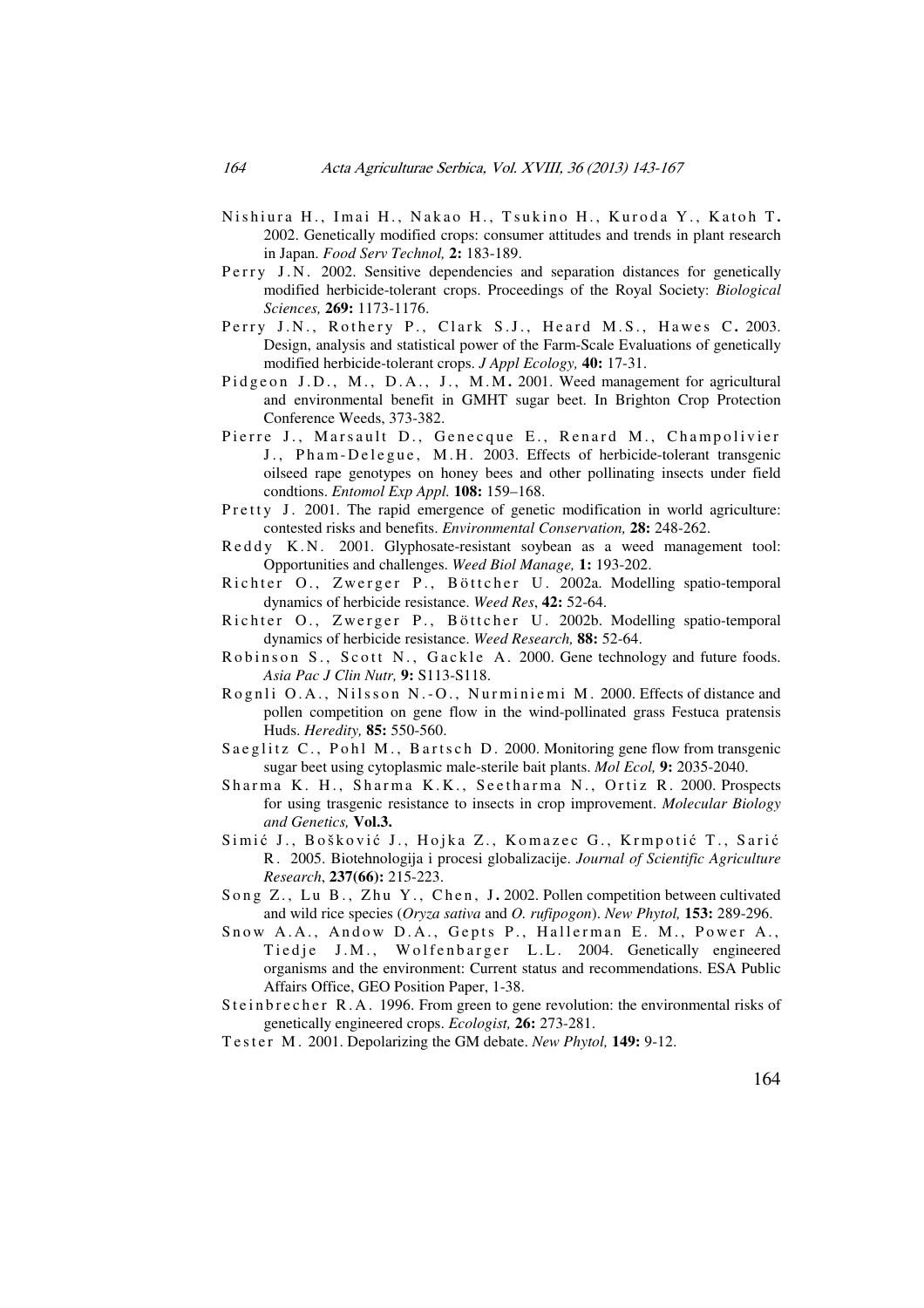- Nishiura H., Imai H., Nakao H., Tsukino H., Kuroda Y., Katoh T. 2002. Genetically modified crops: consumer attitudes and trends in plant research in Japan. *Food Serv Technol,* **2:** 183-189.
- Perry J.N. 2002. Sensitive dependencies and separation distances for genetically modified herbicide-tolerant crops. Proceedings of the Royal Society: *Biological Sciences,* **269:** 1173-1176.
- Perry J.N., Rothery P., Clark S.J., Heard M.S., Hawes C. 2003. Design, analysis and statistical power of the Farm-Scale Evaluations of genetically modified herbicide-tolerant crops. *J Appl Ecology,* **40:** 17-31.
- Pidgeon J.D., M., D.A., J., M.M. 2001. Weed management for agricultural and environmental benefit in GMHT sugar beet. In Brighton Crop Protection Conference Weeds, 373-382.
- Pierre J., Marsault D., Genecque E., Renard M., Champolivier J., Pham-Delegue, M.H. 2003. Effects of herbicide-tolerant transgenic oilseed rape genotypes on honey bees and other pollinating insects under field condtions. *Entomol Exp Appl.* **108:** 159–168.
- Pretty J. 2001. The rapid emergence of genetic modification in world agriculture: contested risks and benefits. *Environmental Conservation,* **28:** 248-262.
- Reddy K.N. 2001. Glyphosate-resistant soybean as a weed management tool: Opportunities and challenges. *Weed Biol Manage,* **1:** 193-202.
- Richter O., Zwerger P., Böttcher U. 2002a. Modelling spatio-temporal dynamics of herbicide resistance. *Weed Res*, **42:** 52-64.
- Richter O., Zwerger P., Böttcher U. 2002b. Modelling spatio-temporal dynamics of herbicide resistance. *Weed Research,* **88:** 52-64.
- Robinson S., Scott N., Gackle A. 2000. Gene technology and future foods. *Asia Pac J Clin Nutr,* **9:** S113-S118.
- Rognli O.A., Nilsson N.-O., Nurminiemi M. 2000. Effects of distance and pollen competition on gene flow in the wind-pollinated grass Festuca pratensis Huds. *Heredity,* **85:** 550-560.
- Saeglitz C., Pohl M., Bartsch D. 2000. Monitoring gene flow from transgenic sugar beet using cytoplasmic male-sterile bait plants. *Mol Ecol,* **9:** 2035-2040.
- Sharma K. H., Sharma K.K., Seetharma N., Ortiz R. 2000. Prospects for using trasgenic resistance to insects in crop improvement. *Molecular Biology and Genetics,* **Vol.3.**
- Simić J., Bošković J., Hojka Z., Komazec G., Krmpotić T., Sarić R . 2005. Biotehnologija i procesi globalizacije. *Journal of Scientific Agriculture Research*, **237(66):** 215-223.
- Song Z., Lu B., Zhu Y., Chen, J. 2002. Pollen competition between cultivated and wild rice species (*Oryza sativa* and *O. rufipogon*). *New Phytol,* **153:** 289-296.
- Snow A.A., Andow D.A., Gepts P., Hallerman E. M., Power A., Tiedje J.M., Wolfenbarger L.L. 2004. Genetically engineered organisms and the environment: Current status and recommendations. ESA Public Affairs Office, GEO Position Paper, 1-38.
- S t e in b r e c h e r R. A. 1996. From green to gene revolution: the environmental risks of genetically engineered crops. *Ecologist,* **26:** 273-281.
- T e s t e r M . 2001. Depolarizing the GM debate. *New Phytol,* **149:** 9-12.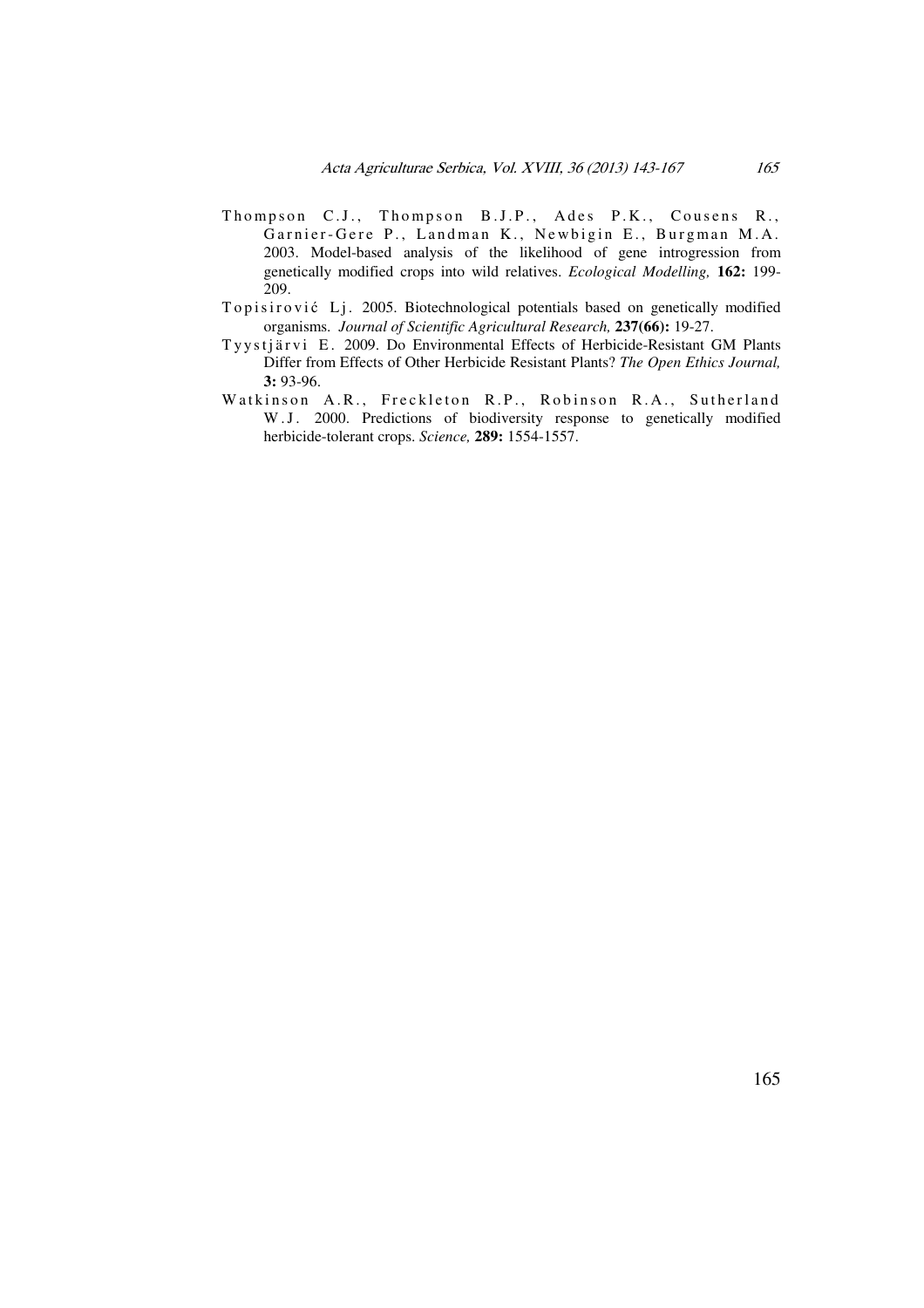- Thompson C.J., Thompson B.J.P., Ades P.K., Cousens R., Garnier-Gere P., Landman K., Newbigin E., Burgman M.A. 2003. Model-based analysis of the likelihood of gene introgression from genetically modified crops into wild relatives. *Ecological Modelling,* **162:** 199- 209.
- Topisirović Lj. 2005. Biotechnological potentials based on genetically modified organisms. *Journal of Scientific Agricultural Research,* **237(66):** 19-27.
- Tyystjärvi E. 2009. Do Environmental Effects of Herbicide-Resistant GM Plants Differ from Effects of Other Herbicide Resistant Plants? *The Open Ethics Journal,* **3:** 93-96.
- Watkinson A.R., Freckleton R.P., Robinson R.A., Sutherland W.J. 2000. Predictions of biodiversity response to genetically modified herbicide-tolerant crops. *Science,* **289:** 1554-1557.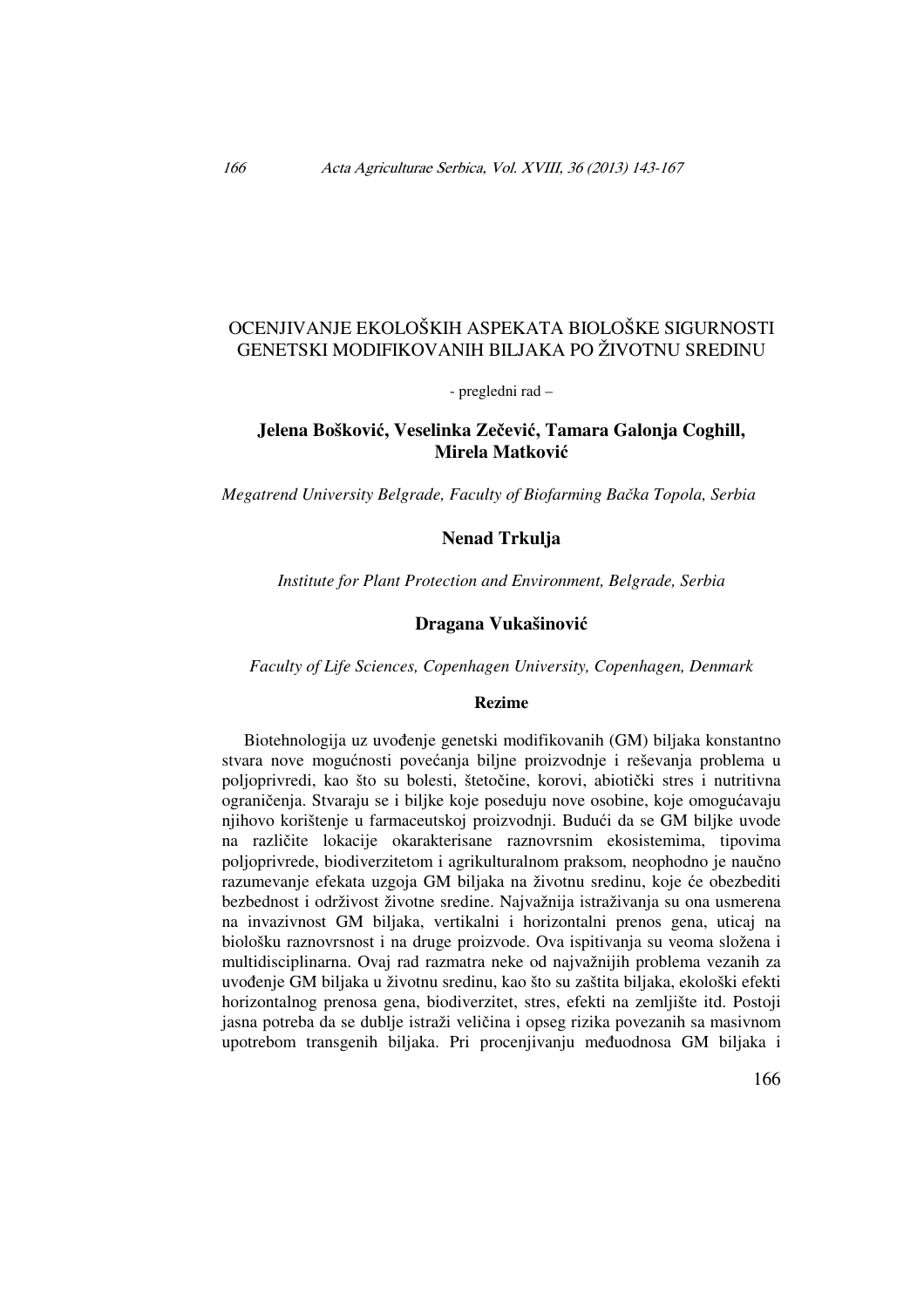# OCENJIVANJE EKOLOŠKIH ASPEKATA BIOLOŠKE SIGURNOSTI GENETSKI MODIFIKOVANIH BILJAKA PO ŽIVOTNU SREDINU

- pregledni rad –

# **Jelena Boškovi**ć**, Veselinka Ze**č**evi**ć**, Tamara Galonja Coghill, Mirela Matkovi**ć

*Megatrend University Belgrade, Faculty of Biofarming Ba*č*ka Topola, Serbia* 

### **Nenad Trkulja**

*Institute for Plant Protection and Environment, Belgrade, Serbia* 

### **Dragana Vukašinovi**ć

*Faculty of Life Sciences, Copenhagen University, Copenhagen, Denmark* 

### **Rezime**

Biotehnologija uz uvođenje genetski modifikovanih (GM) biljaka konstantno stvara nove mogućnosti povećanja biljne proizvodnje i reševanja problema u poljoprivredi, kao što su bolesti, štetočine, korovi, abiotički stres i nutritivna ograničenja. Stvaraju se i biljke koje poseduju nove osobine, koje omogućavaju njihovo korištenje u farmaceutskoj proizvodnji. Budući da se GM biljke uvode na različite lokacije okarakterisane raznovrsnim ekosistemima, tipovima poljoprivrede, biodiverzitetom i agrikulturalnom praksom, neophodno je naučno razumevanje efekata uzgoja GM biljaka na životnu sredinu, koje će obezbediti bezbednost i održivost životne sredine. Najvažnija istraživanja su ona usmerena na invazivnost GM biljaka, vertikalni i horizontalni prenos gena, uticaj na biološku raznovrsnost i na druge proizvode. Ova ispitivanja su veoma složena i multidisciplinarna. Ovaj rad razmatra neke od najvažnijih problema vezanih za uvođenje GM biljaka u životnu sredinu, kao što su zaštita biljaka, ekološki efekti horizontalnog prenosa gena, biodiverzitet, stres, efekti na zemljište itd. Postoji jasna potreba da se dublje istraži veličina i opseg rizika povezanih sa masivnom upotrebom transgenih biljaka. Pri procenjivanju međuodnosa GM biljaka i